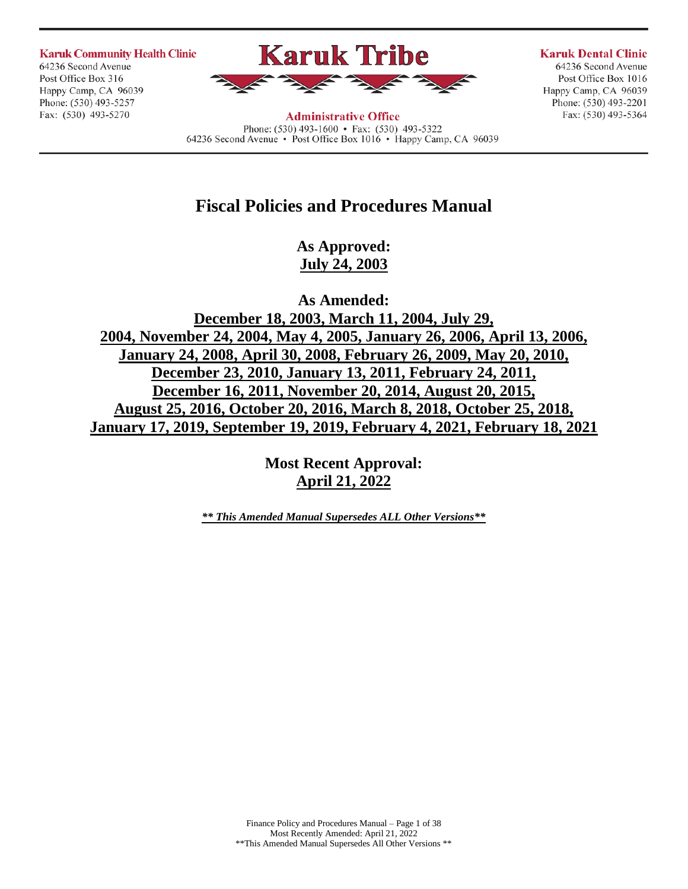**Karuk Community Health Clinic** 64236 Second Avenue Post Office Box 316

Happy Camp, CA 96039

Phone: (530) 493-5257

Fax: (530) 493-5270

# **Karuk Tribe**

**Karuk Dental Clinic** 

64236 Second Avenue Post Office Box 1016 Happy Camp, CA 96039 Phone: (530) 493-2201 Fax: (530) 493-5364

**Administrative Office** Phone: (530) 493-1600 • Fax: (530) 493-5322 64236 Second Avenue • Post Office Box 1016 • Happy Camp, CA 96039

## **Fiscal Policies and Procedures Manual**

**As Approved: July 24, 2003**

**As Amended: December 18, 2003, March 11, 2004, July 29, 2004, November 24, 2004, May 4, 2005, January 26, 2006, April 13, 2006, January 24, 2008, April 30, 2008, February 26, 2009, May 20, 2010, December 23, 2010, January 13, 2011, February 24, 2011, December 16, 2011, November 20, 2014, August 20, 2015, August 25, 2016, October 20, 2016, March 8, 2018, October 25, 2018, January 17, 2019, September 19, 2019, February 4, 2021, February 18, 2021**

> **Most Recent Approval: April 21, 2022**

*\*\* This Amended Manual Supersedes ALL Other Versions\*\**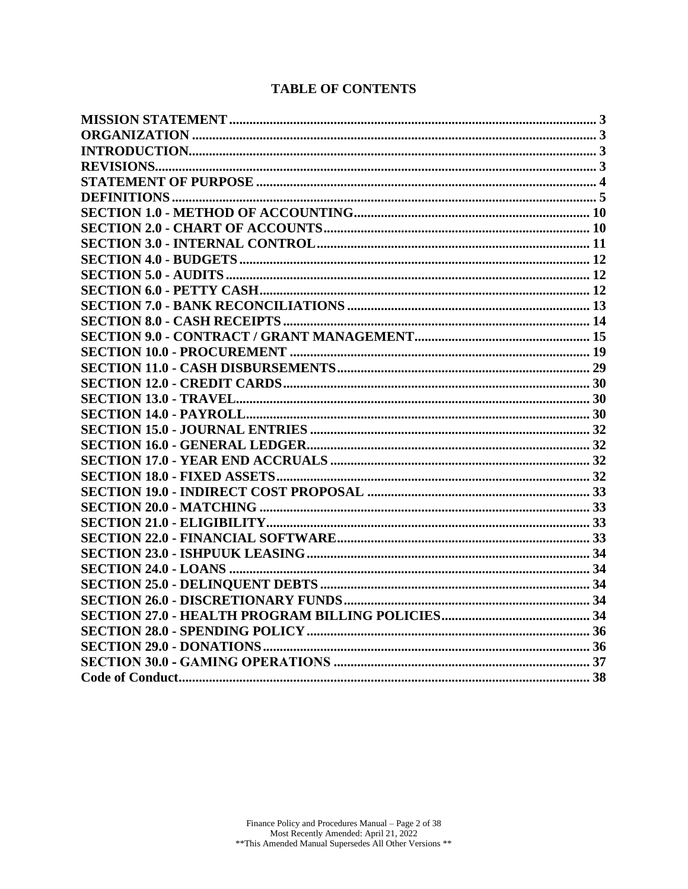## **TABLE OF CONTENTS**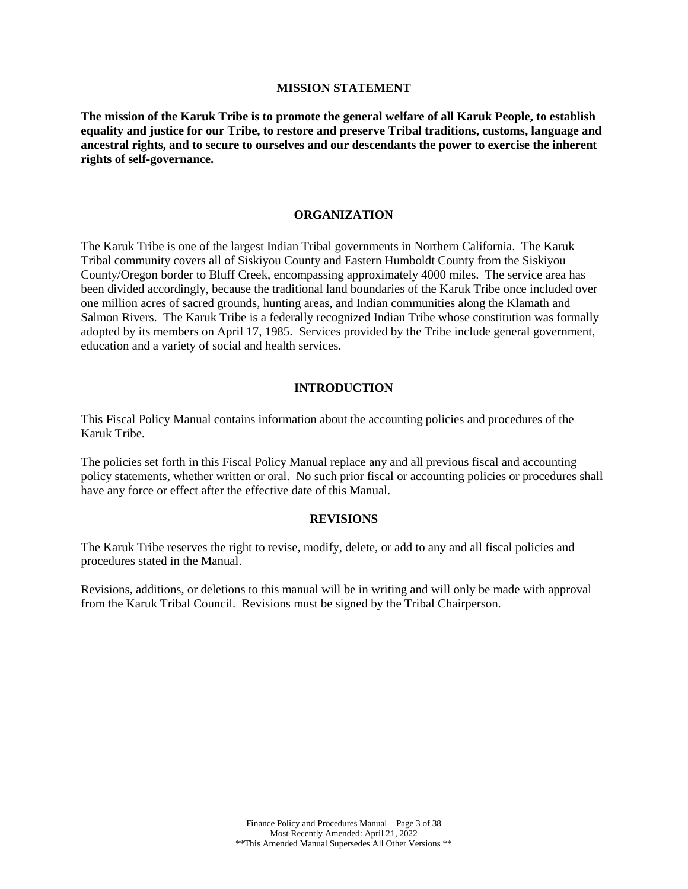#### **MISSION STATEMENT**

<span id="page-2-0"></span>**The mission of the Karuk Tribe is to promote the general welfare of all Karuk People, to establish equality and justice for our Tribe, to restore and preserve Tribal traditions, customs, language and ancestral rights, and to secure to ourselves and our descendants the power to exercise the inherent rights of self-governance.**

#### **ORGANIZATION**

<span id="page-2-1"></span>The Karuk Tribe is one of the largest Indian Tribal governments in Northern California. The Karuk Tribal community covers all of Siskiyou County and Eastern Humboldt County from the Siskiyou County/Oregon border to Bluff Creek, encompassing approximately 4000 miles. The service area has been divided accordingly, because the traditional land boundaries of the Karuk Tribe once included over one million acres of sacred grounds, hunting areas, and Indian communities along the Klamath and Salmon Rivers. The Karuk Tribe is a federally recognized Indian Tribe whose constitution was formally adopted by its members on April 17, 1985. Services provided by the Tribe include general government, education and a variety of social and health services.

#### **INTRODUCTION**

<span id="page-2-2"></span>This Fiscal Policy Manual contains information about the accounting policies and procedures of the Karuk Tribe.

The policies set forth in this Fiscal Policy Manual replace any and all previous fiscal and accounting policy statements, whether written or oral. No such prior fiscal or accounting policies or procedures shall have any force or effect after the effective date of this Manual.

#### **REVISIONS**

<span id="page-2-3"></span>The Karuk Tribe reserves the right to revise, modify, delete, or add to any and all fiscal policies and procedures stated in the Manual.

Revisions, additions, or deletions to this manual will be in writing and will only be made with approval from the Karuk Tribal Council. Revisions must be signed by the Tribal Chairperson.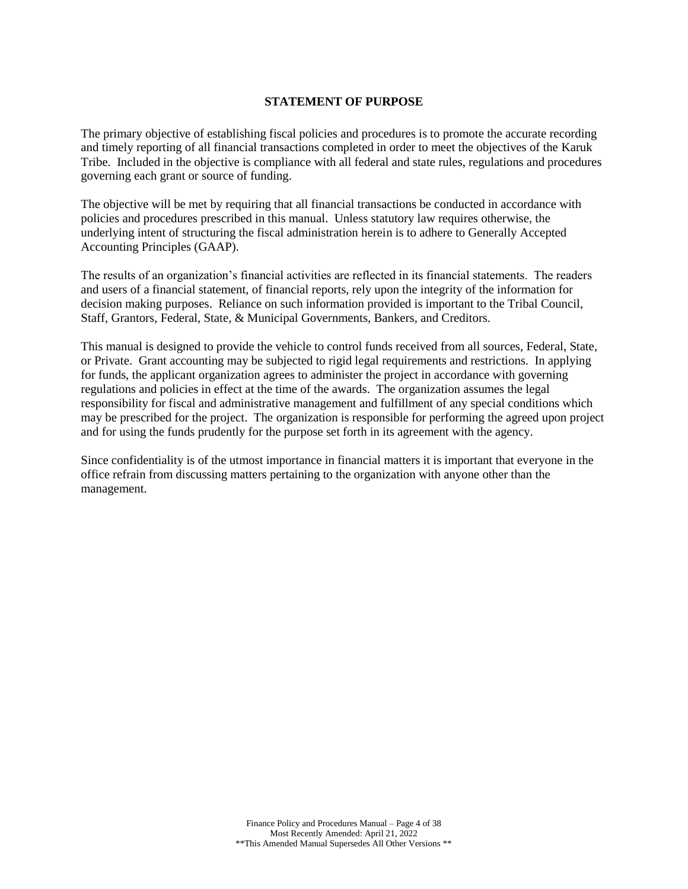## **STATEMENT OF PURPOSE**

<span id="page-3-0"></span>The primary objective of establishing fiscal policies and procedures is to promote the accurate recording and timely reporting of all financial transactions completed in order to meet the objectives of the Karuk Tribe. Included in the objective is compliance with all federal and state rules, regulations and procedures governing each grant or source of funding.

The objective will be met by requiring that all financial transactions be conducted in accordance with policies and procedures prescribed in this manual. Unless statutory law requires otherwise, the underlying intent of structuring the fiscal administration herein is to adhere to Generally Accepted Accounting Principles (GAAP).

The results of an organization's financial activities are reflected in its financial statements. The readers and users of a financial statement, of financial reports, rely upon the integrity of the information for decision making purposes. Reliance on such information provided is important to the Tribal Council, Staff, Grantors, Federal, State, & Municipal Governments, Bankers, and Creditors.

This manual is designed to provide the vehicle to control funds received from all sources, Federal, State, or Private. Grant accounting may be subjected to rigid legal requirements and restrictions. In applying for funds, the applicant organization agrees to administer the project in accordance with governing regulations and policies in effect at the time of the awards. The organization assumes the legal responsibility for fiscal and administrative management and fulfillment of any special conditions which may be prescribed for the project. The organization is responsible for performing the agreed upon project and for using the funds prudently for the purpose set forth in its agreement with the agency.

Since confidentiality is of the utmost importance in financial matters it is important that everyone in the office refrain from discussing matters pertaining to the organization with anyone other than the management.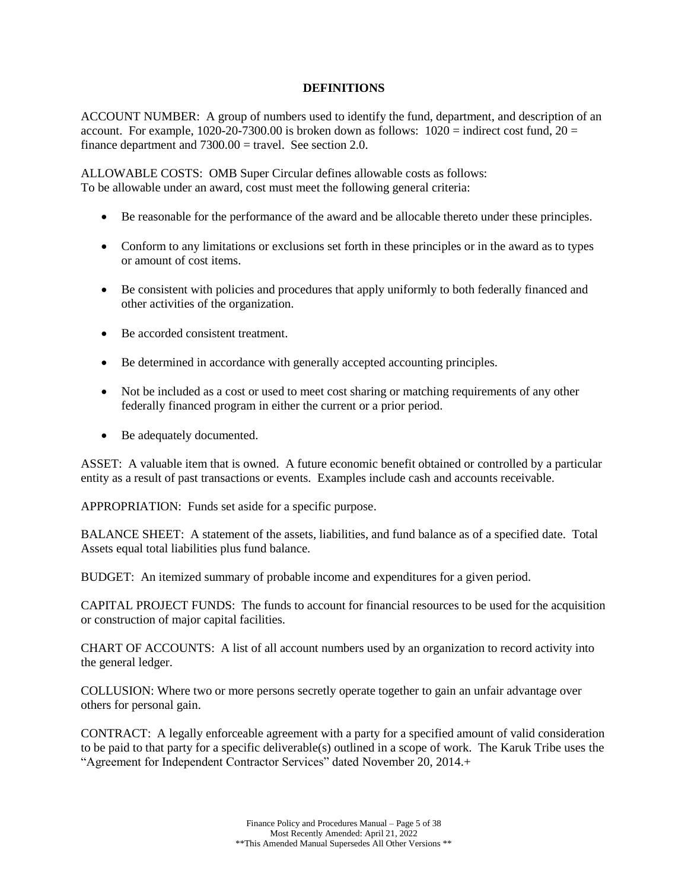### **DEFINITIONS**

<span id="page-4-0"></span>ACCOUNT NUMBER: A group of numbers used to identify the fund, department, and description of an account. For example,  $1020-20-7300.00$  is broken down as follows:  $1020 =$  indirect cost fund,  $20 =$ finance department and  $7300.00 =$  travel. See section 2.0.

ALLOWABLE COSTS: OMB Super Circular defines allowable costs as follows: To be allowable under an award, cost must meet the following general criteria:

- Be reasonable for the performance of the award and be allocable thereto under these principles.
- Conform to any limitations or exclusions set forth in these principles or in the award as to types or amount of cost items.
- Be consistent with policies and procedures that apply uniformly to both federally financed and other activities of the organization.
- Be accorded consistent treatment.
- Be determined in accordance with generally accepted accounting principles.
- Not be included as a cost or used to meet cost sharing or matching requirements of any other federally financed program in either the current or a prior period.
- Be adequately documented.

ASSET: A valuable item that is owned. A future economic benefit obtained or controlled by a particular entity as a result of past transactions or events. Examples include cash and accounts receivable.

APPROPRIATION: Funds set aside for a specific purpose.

BALANCE SHEET: A statement of the assets, liabilities, and fund balance as of a specified date. Total Assets equal total liabilities plus fund balance.

BUDGET: An itemized summary of probable income and expenditures for a given period.

CAPITAL PROJECT FUNDS: The funds to account for financial resources to be used for the acquisition or construction of major capital facilities.

CHART OF ACCOUNTS: A list of all account numbers used by an organization to record activity into the general ledger.

COLLUSION: Where two or more persons secretly operate together to gain an unfair advantage over others for personal gain.

CONTRACT: A legally enforceable agreement with a party for a specified amount of valid consideration to be paid to that party for a specific deliverable(s) outlined in a scope of work. The Karuk Tribe uses the "Agreement for Independent Contractor Services" dated November 20, 2014.+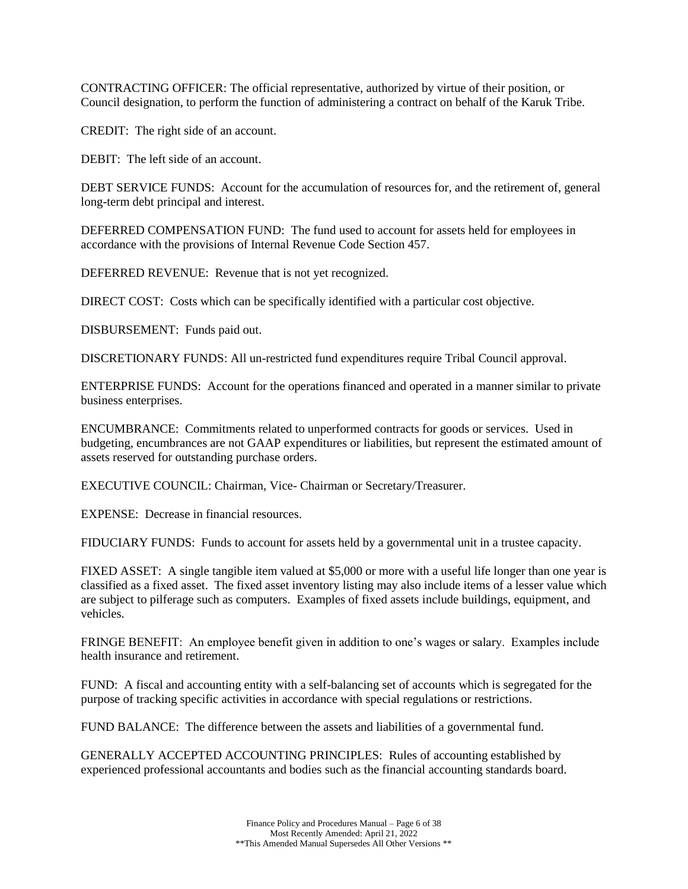CONTRACTING OFFICER: The official representative, authorized by virtue of their position, or Council designation, to perform the function of administering a contract on behalf of the Karuk Tribe.

CREDIT: The right side of an account.

DEBIT: The left side of an account.

DEBT SERVICE FUNDS: Account for the accumulation of resources for, and the retirement of, general long-term debt principal and interest.

DEFERRED COMPENSATION FUND: The fund used to account for assets held for employees in accordance with the provisions of Internal Revenue Code Section 457.

DEFERRED REVENUE: Revenue that is not yet recognized.

DIRECT COST: Costs which can be specifically identified with a particular cost objective.

DISBURSEMENT: Funds paid out.

DISCRETIONARY FUNDS: All un-restricted fund expenditures require Tribal Council approval.

ENTERPRISE FUNDS: Account for the operations financed and operated in a manner similar to private business enterprises.

ENCUMBRANCE: Commitments related to unperformed contracts for goods or services. Used in budgeting, encumbrances are not GAAP expenditures or liabilities, but represent the estimated amount of assets reserved for outstanding purchase orders.

EXECUTIVE COUNCIL: Chairman, Vice- Chairman or Secretary/Treasurer.

EXPENSE: Decrease in financial resources.

FIDUCIARY FUNDS: Funds to account for assets held by a governmental unit in a trustee capacity.

FIXED ASSET: A single tangible item valued at \$5,000 or more with a useful life longer than one year is classified as a fixed asset. The fixed asset inventory listing may also include items of a lesser value which are subject to pilferage such as computers. Examples of fixed assets include buildings, equipment, and vehicles.

FRINGE BENEFIT: An employee benefit given in addition to one's wages or salary. Examples include health insurance and retirement.

FUND: A fiscal and accounting entity with a self-balancing set of accounts which is segregated for the purpose of tracking specific activities in accordance with special regulations or restrictions.

FUND BALANCE: The difference between the assets and liabilities of a governmental fund.

GENERALLY ACCEPTED ACCOUNTING PRINCIPLES: Rules of accounting established by experienced professional accountants and bodies such as the financial accounting standards board.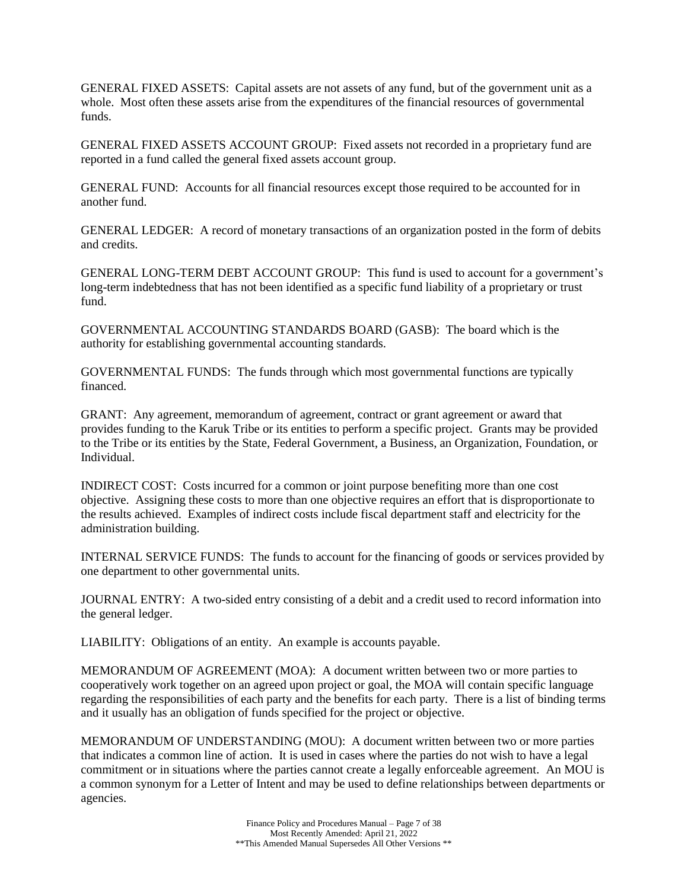GENERAL FIXED ASSETS: Capital assets are not assets of any fund, but of the government unit as a whole. Most often these assets arise from the expenditures of the financial resources of governmental funds.

GENERAL FIXED ASSETS ACCOUNT GROUP: Fixed assets not recorded in a proprietary fund are reported in a fund called the general fixed assets account group.

GENERAL FUND: Accounts for all financial resources except those required to be accounted for in another fund.

GENERAL LEDGER: A record of monetary transactions of an organization posted in the form of debits and credits.

GENERAL LONG-TERM DEBT ACCOUNT GROUP: This fund is used to account for a government's long-term indebtedness that has not been identified as a specific fund liability of a proprietary or trust fund.

GOVERNMENTAL ACCOUNTING STANDARDS BOARD (GASB): The board which is the authority for establishing governmental accounting standards.

GOVERNMENTAL FUNDS: The funds through which most governmental functions are typically financed.

GRANT: Any agreement, memorandum of agreement, contract or grant agreement or award that provides funding to the Karuk Tribe or its entities to perform a specific project. Grants may be provided to the Tribe or its entities by the State, Federal Government, a Business, an Organization, Foundation, or Individual.

INDIRECT COST: Costs incurred for a common or joint purpose benefiting more than one cost objective. Assigning these costs to more than one objective requires an effort that is disproportionate to the results achieved. Examples of indirect costs include fiscal department staff and electricity for the administration building.

INTERNAL SERVICE FUNDS: The funds to account for the financing of goods or services provided by one department to other governmental units.

JOURNAL ENTRY: A two-sided entry consisting of a debit and a credit used to record information into the general ledger.

LIABILITY: Obligations of an entity. An example is accounts payable.

MEMORANDUM OF AGREEMENT (MOA): A document written between two or more parties to cooperatively work together on an agreed upon project or goal, the MOA will contain specific language regarding the responsibilities of each party and the benefits for each party. There is a list of binding terms and it usually has an obligation of funds specified for the project or objective.

MEMORANDUM OF UNDERSTANDING (MOU): A document written between two or more parties that indicates a common line of action. It is used in cases where the parties do not wish to have a legal commitment or in situations where the parties cannot create a legally enforceable agreement. An MOU is a common synonym for a Letter of Intent and may be used to define relationships between departments or agencies.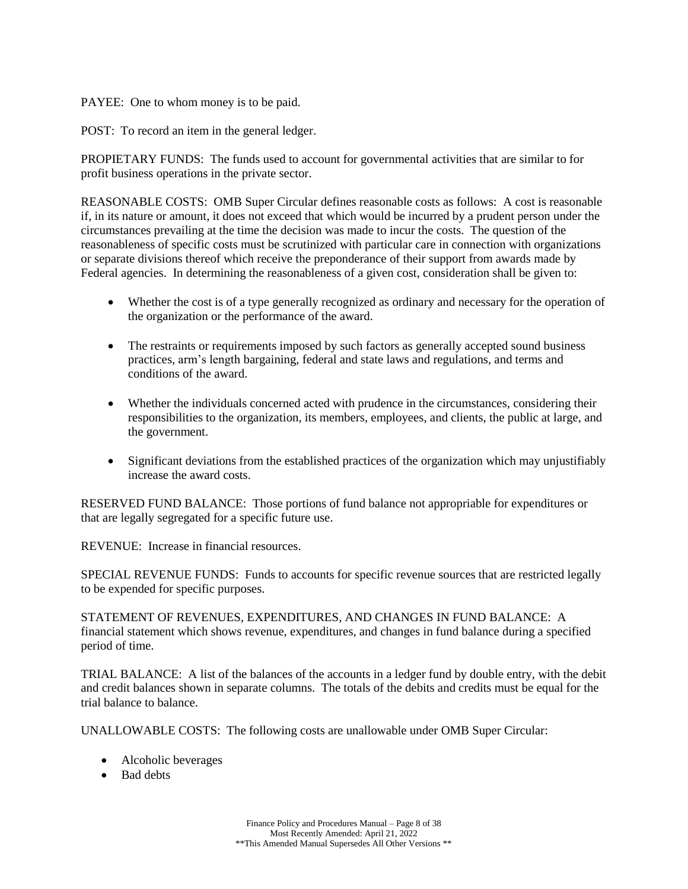## PAYEE: One to whom money is to be paid.

POST: To record an item in the general ledger.

PROPIETARY FUNDS: The funds used to account for governmental activities that are similar to for profit business operations in the private sector.

REASONABLE COSTS: OMB Super Circular defines reasonable costs as follows: A cost is reasonable if, in its nature or amount, it does not exceed that which would be incurred by a prudent person under the circumstances prevailing at the time the decision was made to incur the costs. The question of the reasonableness of specific costs must be scrutinized with particular care in connection with organizations or separate divisions thereof which receive the preponderance of their support from awards made by Federal agencies. In determining the reasonableness of a given cost, consideration shall be given to:

- Whether the cost is of a type generally recognized as ordinary and necessary for the operation of the organization or the performance of the award.
- The restraints or requirements imposed by such factors as generally accepted sound business practices, arm's length bargaining, federal and state laws and regulations, and terms and conditions of the award.
- Whether the individuals concerned acted with prudence in the circumstances, considering their responsibilities to the organization, its members, employees, and clients, the public at large, and the government.
- Significant deviations from the established practices of the organization which may unjustifiably increase the award costs.

RESERVED FUND BALANCE: Those portions of fund balance not appropriable for expenditures or that are legally segregated for a specific future use.

REVENUE: Increase in financial resources.

SPECIAL REVENUE FUNDS: Funds to accounts for specific revenue sources that are restricted legally to be expended for specific purposes.

STATEMENT OF REVENUES, EXPENDITURES, AND CHANGES IN FUND BALANCE: A financial statement which shows revenue, expenditures, and changes in fund balance during a specified period of time.

TRIAL BALANCE: A list of the balances of the accounts in a ledger fund by double entry, with the debit and credit balances shown in separate columns. The totals of the debits and credits must be equal for the trial balance to balance.

UNALLOWABLE COSTS: The following costs are unallowable under OMB Super Circular:

- Alcoholic beverages
- Bad debts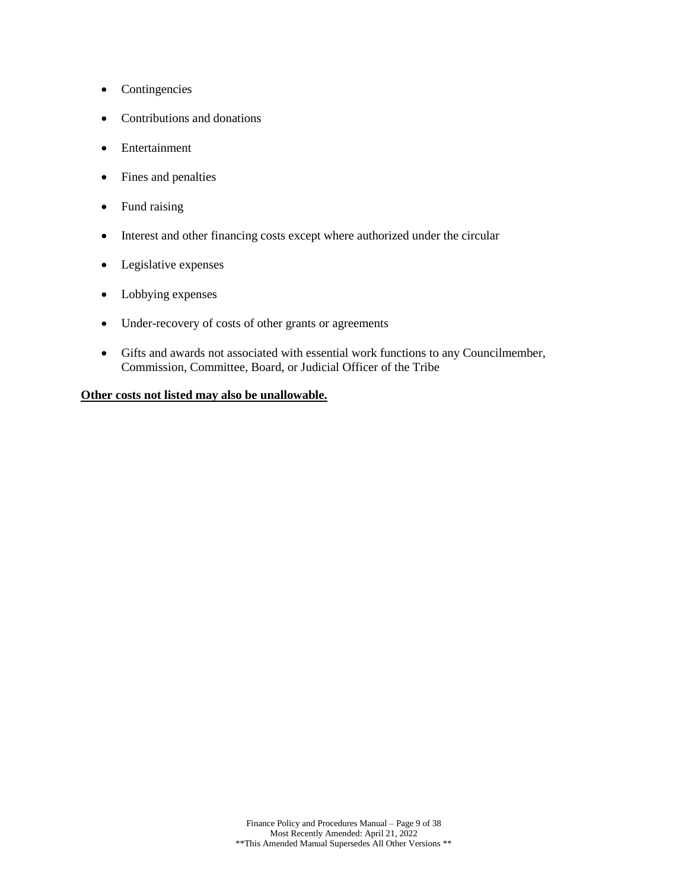- Contingencies
- Contributions and donations
- Entertainment
- Fines and penalties
- Fund raising
- Interest and other financing costs except where authorized under the circular
- Legislative expenses
- Lobbying expenses
- Under-recovery of costs of other grants or agreements
- Gifts and awards not associated with essential work functions to any Councilmember, Commission, Committee, Board, or Judicial Officer of the Tribe

## **Other costs not listed may also be unallowable.**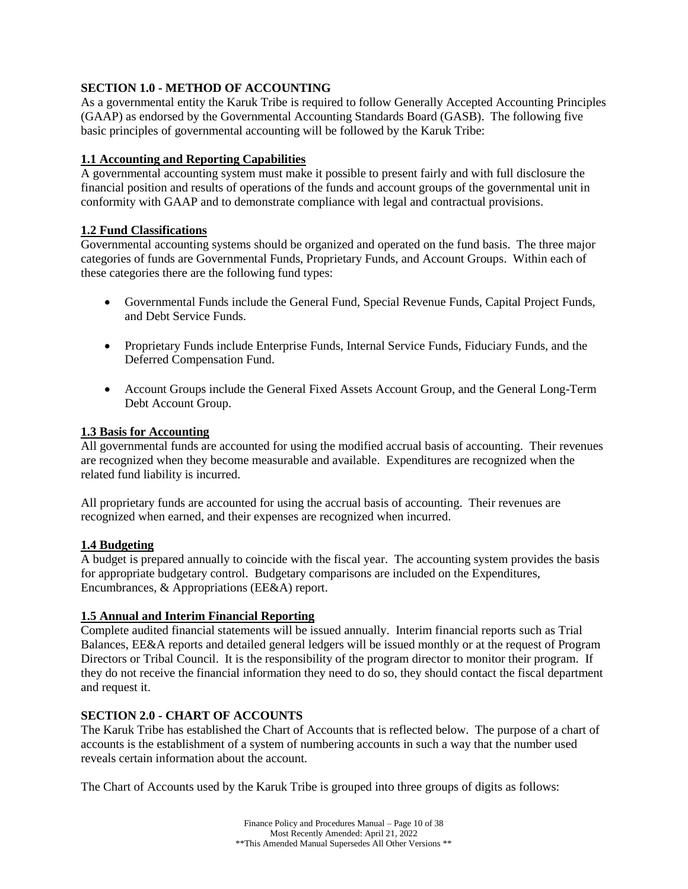## <span id="page-9-0"></span>**SECTION 1.0 - METHOD OF ACCOUNTING**

As a governmental entity the Karuk Tribe is required to follow Generally Accepted Accounting Principles (GAAP) as endorsed by the Governmental Accounting Standards Board (GASB). The following five basic principles of governmental accounting will be followed by the Karuk Tribe:

## **1.1 Accounting and Reporting Capabilities**

A governmental accounting system must make it possible to present fairly and with full disclosure the financial position and results of operations of the funds and account groups of the governmental unit in conformity with GAAP and to demonstrate compliance with legal and contractual provisions.

## **1.2 Fund Classifications**

Governmental accounting systems should be organized and operated on the fund basis. The three major categories of funds are Governmental Funds, Proprietary Funds, and Account Groups. Within each of these categories there are the following fund types:

- Governmental Funds include the General Fund, Special Revenue Funds, Capital Project Funds, and Debt Service Funds.
- Proprietary Funds include Enterprise Funds, Internal Service Funds, Fiduciary Funds, and the Deferred Compensation Fund.
- Account Groups include the General Fixed Assets Account Group, and the General Long-Term Debt Account Group.

## **1.3 Basis for Accounting**

All governmental funds are accounted for using the modified accrual basis of accounting. Their revenues are recognized when they become measurable and available. Expenditures are recognized when the related fund liability is incurred.

All proprietary funds are accounted for using the accrual basis of accounting. Their revenues are recognized when earned, and their expenses are recognized when incurred.

## **1.4 Budgeting**

A budget is prepared annually to coincide with the fiscal year. The accounting system provides the basis for appropriate budgetary control. Budgetary comparisons are included on the Expenditures, Encumbrances, & Appropriations (EE&A) report.

## **1.5 Annual and Interim Financial Reporting**

Complete audited financial statements will be issued annually. Interim financial reports such as Trial Balances, EE&A reports and detailed general ledgers will be issued monthly or at the request of Program Directors or Tribal Council. It is the responsibility of the program director to monitor their program. If they do not receive the financial information they need to do so, they should contact the fiscal department and request it.

## <span id="page-9-1"></span>**SECTION 2.0 - CHART OF ACCOUNTS**

The Karuk Tribe has established the Chart of Accounts that is reflected below. The purpose of a chart of accounts is the establishment of a system of numbering accounts in such a way that the number used reveals certain information about the account.

The Chart of Accounts used by the Karuk Tribe is grouped into three groups of digits as follows: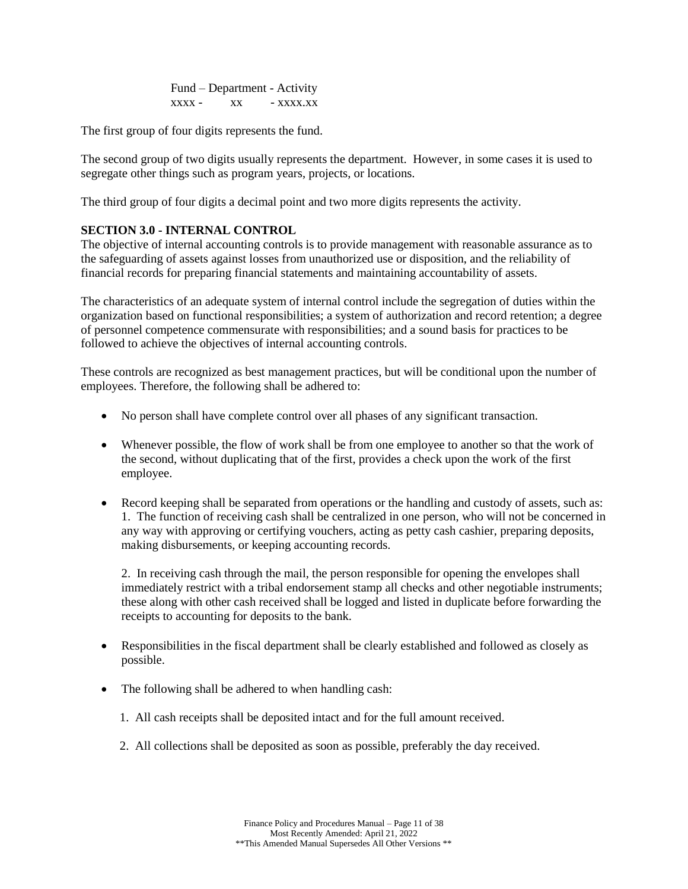Fund – Department - Activity  $xxxx - xx$   $xx - xxx$ 

The first group of four digits represents the fund.

The second group of two digits usually represents the department. However, in some cases it is used to segregate other things such as program years, projects, or locations.

The third group of four digits a decimal point and two more digits represents the activity.

## <span id="page-10-0"></span>**SECTION 3.0 - INTERNAL CONTROL**

The objective of internal accounting controls is to provide management with reasonable assurance as to the safeguarding of assets against losses from unauthorized use or disposition, and the reliability of financial records for preparing financial statements and maintaining accountability of assets.

The characteristics of an adequate system of internal control include the segregation of duties within the organization based on functional responsibilities; a system of authorization and record retention; a degree of personnel competence commensurate with responsibilities; and a sound basis for practices to be followed to achieve the objectives of internal accounting controls.

These controls are recognized as best management practices, but will be conditional upon the number of employees. Therefore, the following shall be adhered to:

- No person shall have complete control over all phases of any significant transaction.
- Whenever possible, the flow of work shall be from one employee to another so that the work of the second, without duplicating that of the first, provides a check upon the work of the first employee.
- Record keeping shall be separated from operations or the handling and custody of assets, such as: 1. The function of receiving cash shall be centralized in one person, who will not be concerned in any way with approving or certifying vouchers, acting as petty cash cashier, preparing deposits, making disbursements, or keeping accounting records.

2. In receiving cash through the mail, the person responsible for opening the envelopes shall immediately restrict with a tribal endorsement stamp all checks and other negotiable instruments; these along with other cash received shall be logged and listed in duplicate before forwarding the receipts to accounting for deposits to the bank.

- Responsibilities in the fiscal department shall be clearly established and followed as closely as possible.
- The following shall be adhered to when handling cash:
	- 1. All cash receipts shall be deposited intact and for the full amount received.
	- 2. All collections shall be deposited as soon as possible, preferably the day received.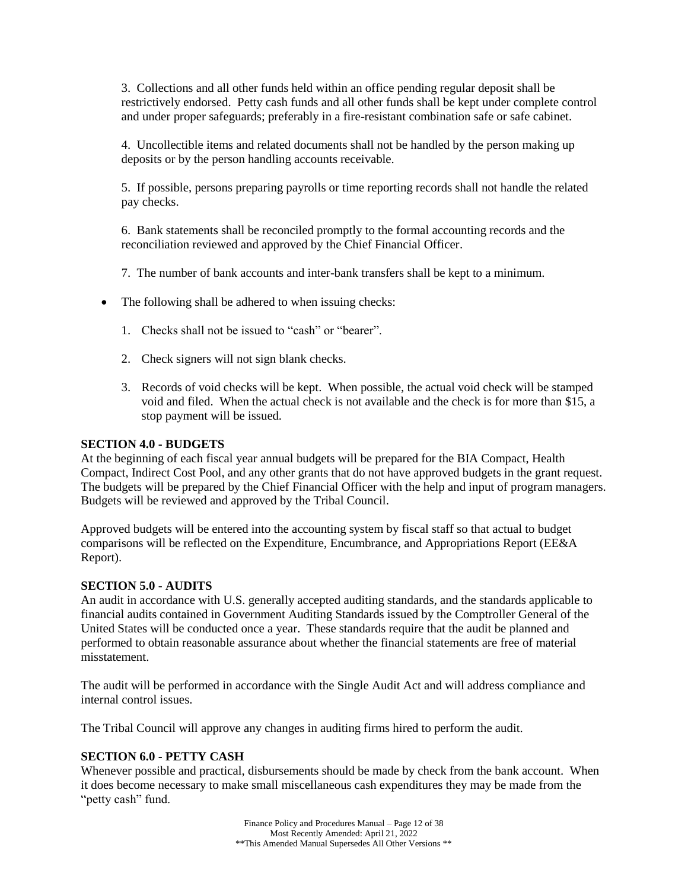3. Collections and all other funds held within an office pending regular deposit shall be restrictively endorsed. Petty cash funds and all other funds shall be kept under complete control and under proper safeguards; preferably in a fire-resistant combination safe or safe cabinet.

4. Uncollectible items and related documents shall not be handled by the person making up deposits or by the person handling accounts receivable.

5. If possible, persons preparing payrolls or time reporting records shall not handle the related pay checks.

6. Bank statements shall be reconciled promptly to the formal accounting records and the reconciliation reviewed and approved by the Chief Financial Officer.

7. The number of bank accounts and inter-bank transfers shall be kept to a minimum.

- The following shall be adhered to when issuing checks:
	- 1. Checks shall not be issued to "cash" or "bearer".
	- 2. Check signers will not sign blank checks.
	- 3. Records of void checks will be kept. When possible, the actual void check will be stamped void and filed. When the actual check is not available and the check is for more than \$15, a stop payment will be issued.

#### <span id="page-11-0"></span>**SECTION 4.0 - BUDGETS**

At the beginning of each fiscal year annual budgets will be prepared for the BIA Compact, Health Compact, Indirect Cost Pool, and any other grants that do not have approved budgets in the grant request. The budgets will be prepared by the Chief Financial Officer with the help and input of program managers. Budgets will be reviewed and approved by the Tribal Council.

Approved budgets will be entered into the accounting system by fiscal staff so that actual to budget comparisons will be reflected on the Expenditure, Encumbrance, and Appropriations Report (EE&A Report).

#### <span id="page-11-1"></span>**SECTION 5.0 - AUDITS**

An audit in accordance with U.S. generally accepted auditing standards, and the standards applicable to financial audits contained in Government Auditing Standards issued by the Comptroller General of the United States will be conducted once a year. These standards require that the audit be planned and performed to obtain reasonable assurance about whether the financial statements are free of material misstatement.

The audit will be performed in accordance with the Single Audit Act and will address compliance and internal control issues.

The Tribal Council will approve any changes in auditing firms hired to perform the audit.

#### <span id="page-11-2"></span>**SECTION 6.0 - PETTY CASH**

Whenever possible and practical, disbursements should be made by check from the bank account. When it does become necessary to make small miscellaneous cash expenditures they may be made from the "petty cash" fund.

> Finance Policy and Procedures Manual – Page 12 of 38 Most Recently Amended: April 21, 2022 \*\*This Amended Manual Supersedes All Other Versions \*\*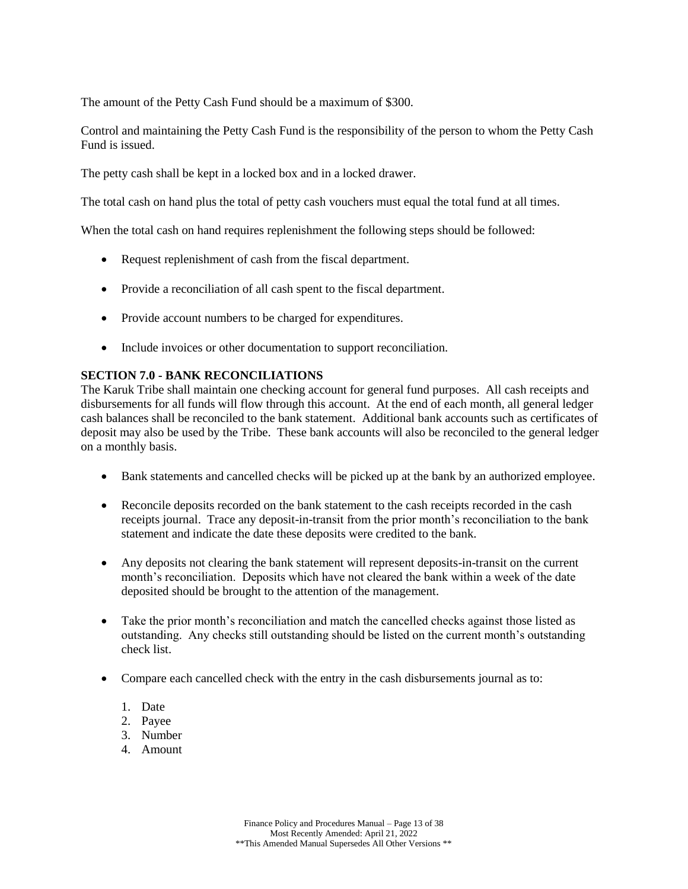The amount of the Petty Cash Fund should be a maximum of \$300.

Control and maintaining the Petty Cash Fund is the responsibility of the person to whom the Petty Cash Fund is issued.

The petty cash shall be kept in a locked box and in a locked drawer.

The total cash on hand plus the total of petty cash vouchers must equal the total fund at all times.

When the total cash on hand requires replenishment the following steps should be followed:

- Request replenishment of cash from the fiscal department.
- Provide a reconciliation of all cash spent to the fiscal department.
- Provide account numbers to be charged for expenditures.
- Include invoices or other documentation to support reconciliation.

## <span id="page-12-0"></span>**SECTION 7.0 - BANK RECONCILIATIONS**

The Karuk Tribe shall maintain one checking account for general fund purposes. All cash receipts and disbursements for all funds will flow through this account. At the end of each month, all general ledger cash balances shall be reconciled to the bank statement. Additional bank accounts such as certificates of deposit may also be used by the Tribe. These bank accounts will also be reconciled to the general ledger on a monthly basis.

- Bank statements and cancelled checks will be picked up at the bank by an authorized employee.
- Reconcile deposits recorded on the bank statement to the cash receipts recorded in the cash receipts journal. Trace any deposit-in-transit from the prior month's reconciliation to the bank statement and indicate the date these deposits were credited to the bank.
- Any deposits not clearing the bank statement will represent deposits-in-transit on the current month's reconciliation. Deposits which have not cleared the bank within a week of the date deposited should be brought to the attention of the management.
- Take the prior month's reconciliation and match the cancelled checks against those listed as outstanding. Any checks still outstanding should be listed on the current month's outstanding check list.
- Compare each cancelled check with the entry in the cash disbursements journal as to:
	- 1. Date
	- 2. Payee
	- 3. Number
	- 4. Amount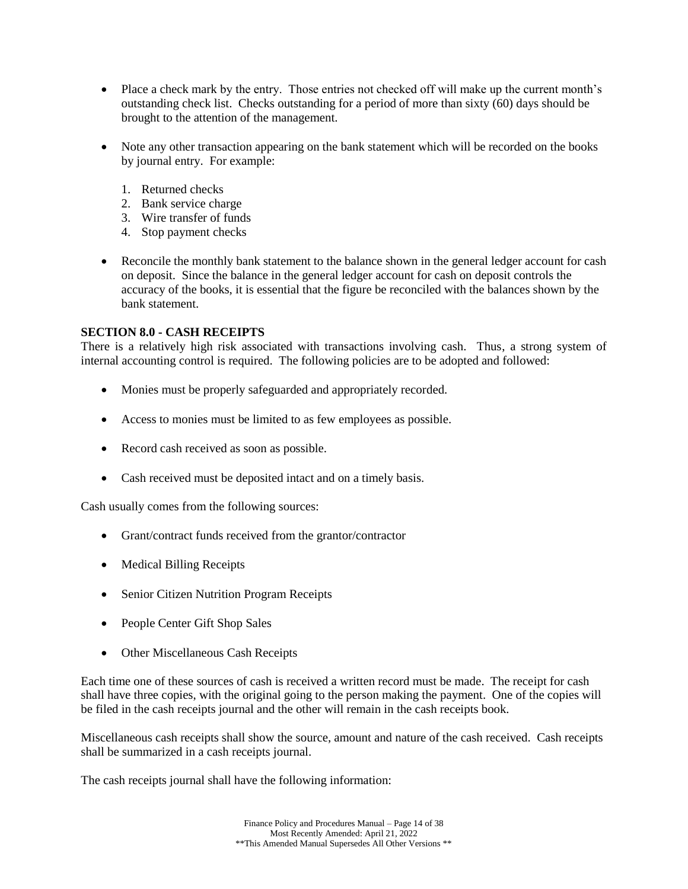- Place a check mark by the entry. Those entries not checked off will make up the current month's outstanding check list. Checks outstanding for a period of more than sixty (60) days should be brought to the attention of the management.
- Note any other transaction appearing on the bank statement which will be recorded on the books by journal entry. For example:
	- 1. Returned checks
	- 2. Bank service charge
	- 3. Wire transfer of funds
	- 4. Stop payment checks
- Reconcile the monthly bank statement to the balance shown in the general ledger account for cash on deposit. Since the balance in the general ledger account for cash on deposit controls the accuracy of the books, it is essential that the figure be reconciled with the balances shown by the bank statement.

## <span id="page-13-0"></span>**SECTION 8.0 - CASH RECEIPTS**

There is a relatively high risk associated with transactions involving cash. Thus, a strong system of internal accounting control is required. The following policies are to be adopted and followed:

- Monies must be properly safeguarded and appropriately recorded.
- Access to monies must be limited to as few employees as possible.
- Record cash received as soon as possible.
- Cash received must be deposited intact and on a timely basis.

Cash usually comes from the following sources:

- Grant/contract funds received from the grantor/contractor
- Medical Billing Receipts
- Senior Citizen Nutrition Program Receipts
- People Center Gift Shop Sales
- Other Miscellaneous Cash Receipts

Each time one of these sources of cash is received a written record must be made. The receipt for cash shall have three copies, with the original going to the person making the payment. One of the copies will be filed in the cash receipts journal and the other will remain in the cash receipts book.

Miscellaneous cash receipts shall show the source, amount and nature of the cash received. Cash receipts shall be summarized in a cash receipts journal.

The cash receipts journal shall have the following information: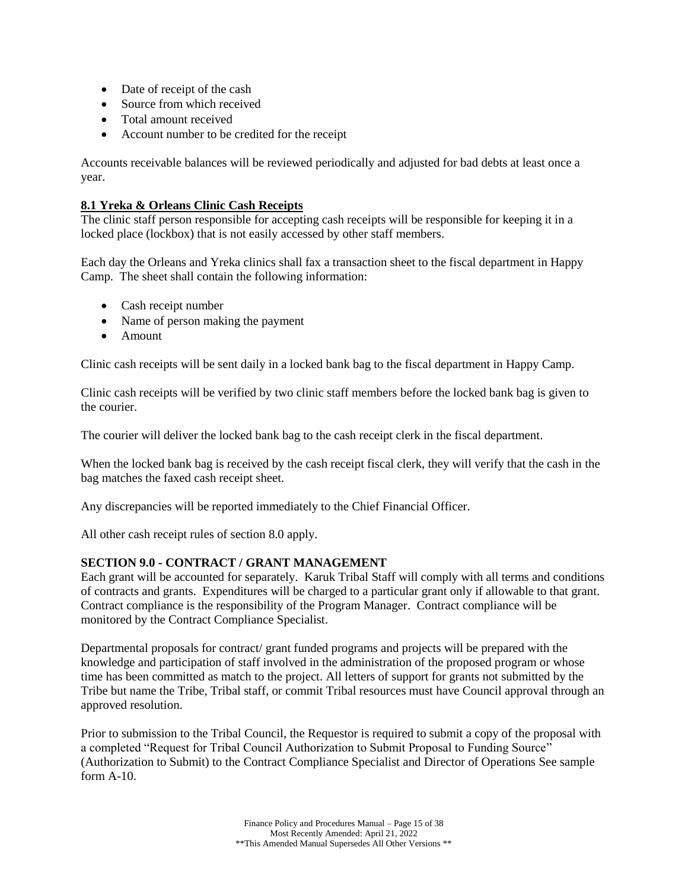- Date of receipt of the cash
- Source from which received
- Total amount received
- Account number to be credited for the receipt

Accounts receivable balances will be reviewed periodically and adjusted for bad debts at least once a year.

## **8.1 Yreka & Orleans Clinic Cash Receipts**

The clinic staff person responsible for accepting cash receipts will be responsible for keeping it in a locked place (lockbox) that is not easily accessed by other staff members.

Each day the Orleans and Yreka clinics shall fax a transaction sheet to the fiscal department in Happy Camp. The sheet shall contain the following information:

- Cash receipt number
- Name of person making the payment
- Amount

Clinic cash receipts will be sent daily in a locked bank bag to the fiscal department in Happy Camp.

Clinic cash receipts will be verified by two clinic staff members before the locked bank bag is given to the courier.

The courier will deliver the locked bank bag to the cash receipt clerk in the fiscal department.

When the locked bank bag is received by the cash receipt fiscal clerk, they will verify that the cash in the bag matches the faxed cash receipt sheet.

Any discrepancies will be reported immediately to the Chief Financial Officer.

All other cash receipt rules of section 8.0 apply.

## <span id="page-14-0"></span>**SECTION 9.0 - CONTRACT / GRANT MANAGEMENT**

Each grant will be accounted for separately. Karuk Tribal Staff will comply with all terms and conditions of contracts and grants. Expenditures will be charged to a particular grant only if allowable to that grant. Contract compliance is the responsibility of the Program Manager. Contract compliance will be monitored by the Contract Compliance Specialist.

Departmental proposals for contract/ grant funded programs and projects will be prepared with the knowledge and participation of staff involved in the administration of the proposed program or whose time has been committed as match to the project. All letters of support for grants not submitted by the Tribe but name the Tribe, Tribal staff, or commit Tribal resources must have Council approval through an approved resolution.

Prior to submission to the Tribal Council, the Requestor is required to submit a copy of the proposal with a completed "Request for Tribal Council Authorization to Submit Proposal to Funding Source" (Authorization to Submit) to the Contract Compliance Specialist and Director of Operations See sample form A-10.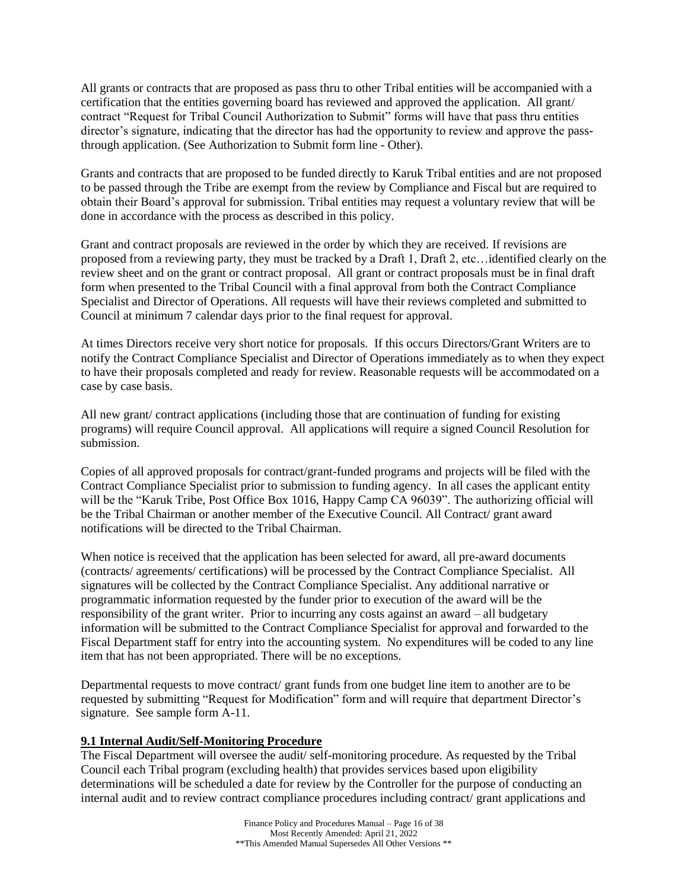All grants or contracts that are proposed as pass thru to other Tribal entities will be accompanied with a certification that the entities governing board has reviewed and approved the application. All grant/ contract "Request for Tribal Council Authorization to Submit" forms will have that pass thru entities director's signature, indicating that the director has had the opportunity to review and approve the passthrough application. (See Authorization to Submit form line - Other).

Grants and contracts that are proposed to be funded directly to Karuk Tribal entities and are not proposed to be passed through the Tribe are exempt from the review by Compliance and Fiscal but are required to obtain their Board's approval for submission. Tribal entities may request a voluntary review that will be done in accordance with the process as described in this policy.

Grant and contract proposals are reviewed in the order by which they are received. If revisions are proposed from a reviewing party, they must be tracked by a Draft 1, Draft 2, etc…identified clearly on the review sheet and on the grant or contract proposal. All grant or contract proposals must be in final draft form when presented to the Tribal Council with a final approval from both the Contract Compliance Specialist and Director of Operations. All requests will have their reviews completed and submitted to Council at minimum 7 calendar days prior to the final request for approval.

At times Directors receive very short notice for proposals. If this occurs Directors/Grant Writers are to notify the Contract Compliance Specialist and Director of Operations immediately as to when they expect to have their proposals completed and ready for review. Reasonable requests will be accommodated on a case by case basis.

All new grant/ contract applications (including those that are continuation of funding for existing programs) will require Council approval. All applications will require a signed Council Resolution for submission.

Copies of all approved proposals for contract/grant-funded programs and projects will be filed with the Contract Compliance Specialist prior to submission to funding agency. In all cases the applicant entity will be the "Karuk Tribe, Post Office Box 1016, Happy Camp CA 96039". The authorizing official will be the Tribal Chairman or another member of the Executive Council. All Contract/ grant award notifications will be directed to the Tribal Chairman.

When notice is received that the application has been selected for award, all pre-award documents (contracts/ agreements/ certifications) will be processed by the Contract Compliance Specialist. All signatures will be collected by the Contract Compliance Specialist. Any additional narrative or programmatic information requested by the funder prior to execution of the award will be the responsibility of the grant writer. Prior to incurring any costs against an award – all budgetary information will be submitted to the Contract Compliance Specialist for approval and forwarded to the Fiscal Department staff for entry into the accounting system. No expenditures will be coded to any line item that has not been appropriated. There will be no exceptions.

Departmental requests to move contract/ grant funds from one budget line item to another are to be requested by submitting "Request for Modification" form and will require that department Director's signature. See sample form A-11.

## **9.1 Internal Audit/Self-Monitoring Procedure**

The Fiscal Department will oversee the audit/ self-monitoring procedure. As requested by the Tribal Council each Tribal program (excluding health) that provides services based upon eligibility determinations will be scheduled a date for review by the Controller for the purpose of conducting an internal audit and to review contract compliance procedures including contract/ grant applications and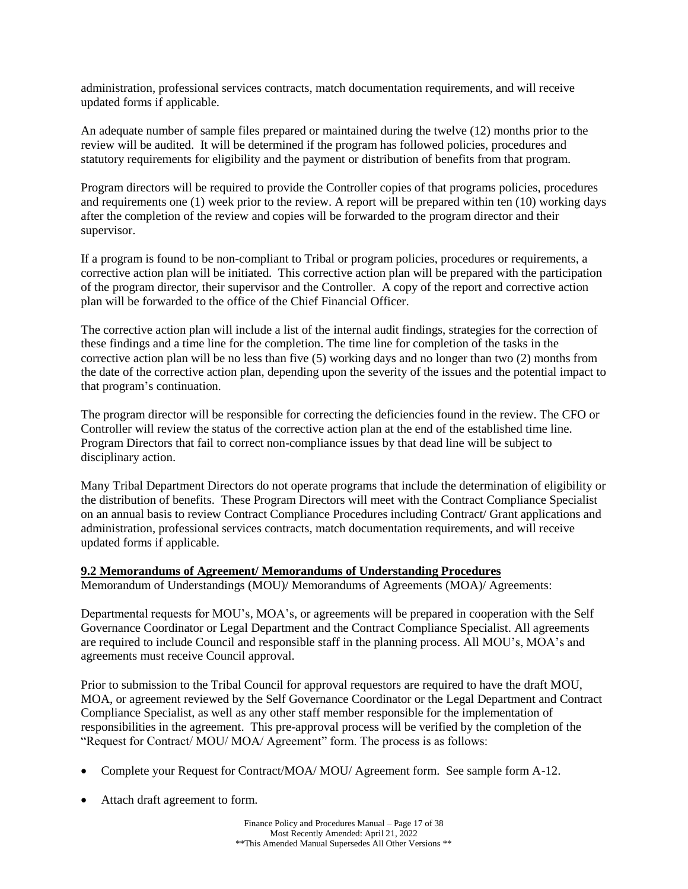administration, professional services contracts, match documentation requirements, and will receive updated forms if applicable.

An adequate number of sample files prepared or maintained during the twelve (12) months prior to the review will be audited. It will be determined if the program has followed policies, procedures and statutory requirements for eligibility and the payment or distribution of benefits from that program.

Program directors will be required to provide the Controller copies of that programs policies, procedures and requirements one (1) week prior to the review. A report will be prepared within ten (10) working days after the completion of the review and copies will be forwarded to the program director and their supervisor.

If a program is found to be non-compliant to Tribal or program policies, procedures or requirements, a corrective action plan will be initiated. This corrective action plan will be prepared with the participation of the program director, their supervisor and the Controller. A copy of the report and corrective action plan will be forwarded to the office of the Chief Financial Officer.

The corrective action plan will include a list of the internal audit findings, strategies for the correction of these findings and a time line for the completion. The time line for completion of the tasks in the corrective action plan will be no less than five (5) working days and no longer than two (2) months from the date of the corrective action plan, depending upon the severity of the issues and the potential impact to that program's continuation.

The program director will be responsible for correcting the deficiencies found in the review. The CFO or Controller will review the status of the corrective action plan at the end of the established time line. Program Directors that fail to correct non-compliance issues by that dead line will be subject to disciplinary action.

Many Tribal Department Directors do not operate programs that include the determination of eligibility or the distribution of benefits. These Program Directors will meet with the Contract Compliance Specialist on an annual basis to review Contract Compliance Procedures including Contract/ Grant applications and administration, professional services contracts, match documentation requirements, and will receive updated forms if applicable.

## **9.2 Memorandums of Agreement/ Memorandums of Understanding Procedures**

Memorandum of Understandings (MOU)/ Memorandums of Agreements (MOA)/ Agreements:

Departmental requests for MOU's, MOA's, or agreements will be prepared in cooperation with the Self Governance Coordinator or Legal Department and the Contract Compliance Specialist. All agreements are required to include Council and responsible staff in the planning process. All MOU's, MOA's and agreements must receive Council approval.

Prior to submission to the Tribal Council for approval requestors are required to have the draft MOU, MOA, or agreement reviewed by the Self Governance Coordinator or the Legal Department and Contract Compliance Specialist, as well as any other staff member responsible for the implementation of responsibilities in the agreement. This pre-approval process will be verified by the completion of the "Request for Contract/ MOU/ MOA/ Agreement" form. The process is as follows:

- Complete your Request for Contract/MOA/ MOU/ Agreement form. See sample form A-12.
- Attach draft agreement to form.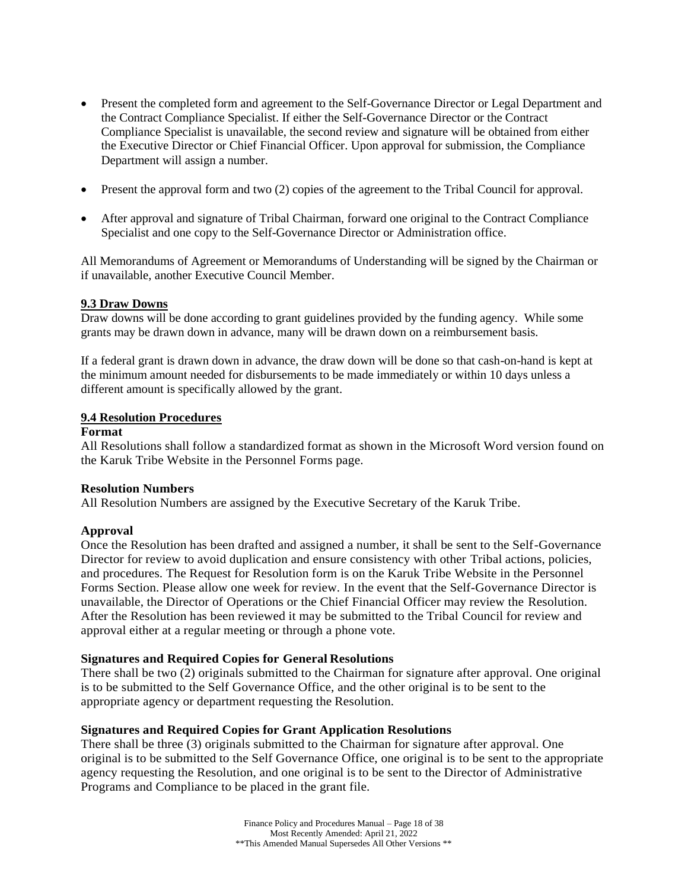- Present the completed form and agreement to the Self-Governance Director or Legal Department and the Contract Compliance Specialist. If either the Self-Governance Director or the Contract Compliance Specialist is unavailable, the second review and signature will be obtained from either the Executive Director or Chief Financial Officer. Upon approval for submission, the Compliance Department will assign a number.
- Present the approval form and two (2) copies of the agreement to the Tribal Council for approval.
- After approval and signature of Tribal Chairman, forward one original to the Contract Compliance Specialist and one copy to the Self-Governance Director or Administration office.

All Memorandums of Agreement or Memorandums of Understanding will be signed by the Chairman or if unavailable, another Executive Council Member.

## **9.3 Draw Downs**

Draw downs will be done according to grant guidelines provided by the funding agency. While some grants may be drawn down in advance, many will be drawn down on a reimbursement basis.

If a federal grant is drawn down in advance, the draw down will be done so that cash-on-hand is kept at the minimum amount needed for disbursements to be made immediately or within 10 days unless a different amount is specifically allowed by the grant.

#### **9.4 Resolution Procedures**

#### **Format**

All Resolutions shall follow a standardized format as shown in the Microsoft Word version found on the Karuk Tribe Website in the Personnel Forms page.

## **Resolution Numbers**

All Resolution Numbers are assigned by the Executive Secretary of the Karuk Tribe.

## **Approval**

Once the Resolution has been drafted and assigned a number, it shall be sent to the Self-Governance Director for review to avoid duplication and ensure consistency with other Tribal actions, policies, and procedures. The Request for Resolution form is on the Karuk Tribe Website in the Personnel Forms Section. Please allow one week for review. In the event that the Self-Governance Director is unavailable, the Director of Operations or the Chief Financial Officer may review the Resolution. After the Resolution has been reviewed it may be submitted to the Tribal Council for review and approval either at a regular meeting or through a phone vote.

## **Signatures and Required Copies for General Resolutions**

There shall be two (2) originals submitted to the Chairman for signature after approval. One original is to be submitted to the Self Governance Office, and the other original is to be sent to the appropriate agency or department requesting the Resolution.

## **Signatures and Required Copies for Grant Application Resolutions**

There shall be three (3) originals submitted to the Chairman for signature after approval. One original is to be submitted to the Self Governance Office, one original is to be sent to the appropriate agency requesting the Resolution, and one original is to be sent to the Director of Administrative Programs and Compliance to be placed in the grant file.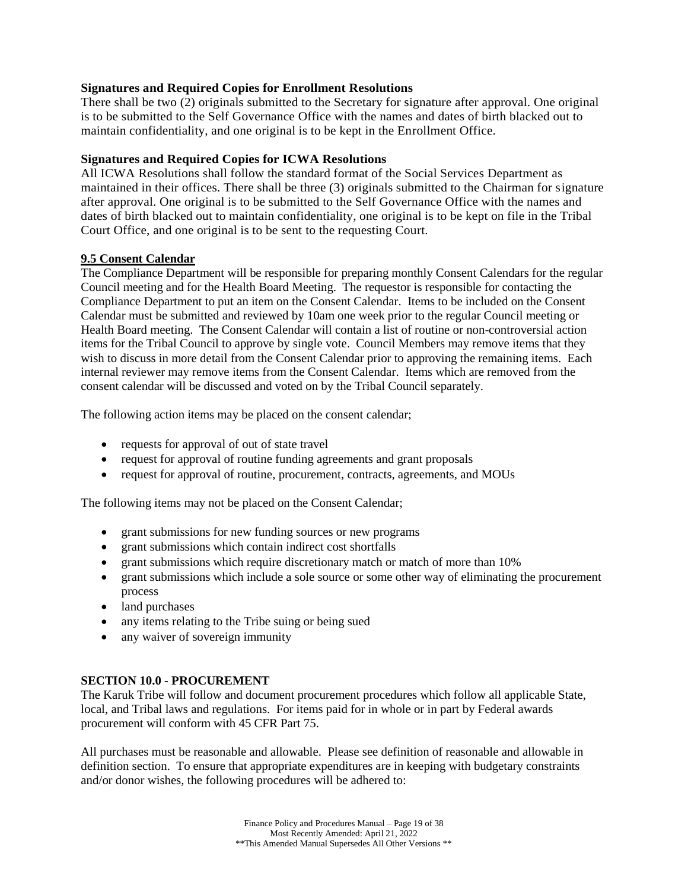## **Signatures and Required Copies for Enrollment Resolutions**

There shall be two (2) originals submitted to the Secretary for signature after approval. One original is to be submitted to the Self Governance Office with the names and dates of birth blacked out to maintain confidentiality, and one original is to be kept in the Enrollment Office.

## **Signatures and Required Copies for ICWA Resolutions**

All ICWA Resolutions shall follow the standard format of the Social Services Department as maintained in their offices. There shall be three (3) originals submitted to the Chairman for signature after approval. One original is to be submitted to the Self Governance Office with the names and dates of birth blacked out to maintain confidentiality, one original is to be kept on file in the Tribal Court Office, and one original is to be sent to the requesting Court.

## **9.5 Consent Calendar**

The Compliance Department will be responsible for preparing monthly Consent Calendars for the regular Council meeting and for the Health Board Meeting. The requestor is responsible for contacting the Compliance Department to put an item on the Consent Calendar. Items to be included on the Consent Calendar must be submitted and reviewed by 10am one week prior to the regular Council meeting or Health Board meeting. The Consent Calendar will contain a list of routine or non-controversial action items for the Tribal Council to approve by single vote. Council Members may remove items that they wish to discuss in more detail from the Consent Calendar prior to approving the remaining items. Each internal reviewer may remove items from the Consent Calendar. Items which are removed from the consent calendar will be discussed and voted on by the Tribal Council separately.

The following action items may be placed on the consent calendar;

- requests for approval of out of state travel
- request for approval of routine funding agreements and grant proposals
- request for approval of routine, procurement, contracts, agreements, and MOUs

The following items may not be placed on the Consent Calendar;

- grant submissions for new funding sources or new programs
- grant submissions which contain indirect cost shortfalls
- grant submissions which require discretionary match or match of more than 10%
- grant submissions which include a sole source or some other way of eliminating the procurement process
- land purchases
- any items relating to the Tribe suing or being sued
- any waiver of sovereign immunity

## <span id="page-18-0"></span>**SECTION 10.0 - PROCUREMENT**

The Karuk Tribe will follow and document procurement procedures which follow all applicable State, local, and Tribal laws and regulations. For items paid for in whole or in part by Federal awards procurement will conform with 45 CFR Part 75.

All purchases must be reasonable and allowable. Please see definition of reasonable and allowable in definition section. To ensure that appropriate expenditures are in keeping with budgetary constraints and/or donor wishes, the following procedures will be adhered to: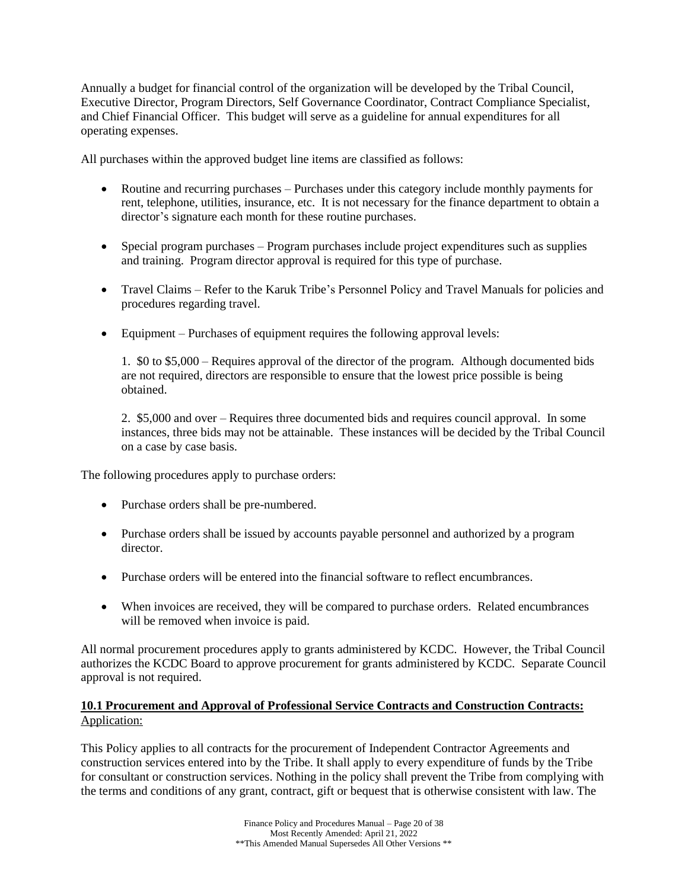Annually a budget for financial control of the organization will be developed by the Tribal Council, Executive Director, Program Directors, Self Governance Coordinator, Contract Compliance Specialist, and Chief Financial Officer. This budget will serve as a guideline for annual expenditures for all operating expenses.

All purchases within the approved budget line items are classified as follows:

- Routine and recurring purchases Purchases under this category include monthly payments for rent, telephone, utilities, insurance, etc. It is not necessary for the finance department to obtain a director's signature each month for these routine purchases.
- Special program purchases Program purchases include project expenditures such as supplies and training. Program director approval is required for this type of purchase.
- Travel Claims Refer to the Karuk Tribe's Personnel Policy and Travel Manuals for policies and procedures regarding travel.
- Equipment Purchases of equipment requires the following approval levels:

1. \$0 to \$5,000 – Requires approval of the director of the program. Although documented bids are not required, directors are responsible to ensure that the lowest price possible is being obtained.

2. \$5,000 and over – Requires three documented bids and requires council approval. In some instances, three bids may not be attainable. These instances will be decided by the Tribal Council on a case by case basis.

The following procedures apply to purchase orders:

- Purchase orders shall be pre-numbered.
- Purchase orders shall be issued by accounts payable personnel and authorized by a program director.
- Purchase orders will be entered into the financial software to reflect encumbrances.
- When invoices are received, they will be compared to purchase orders. Related encumbrances will be removed when invoice is paid.

All normal procurement procedures apply to grants administered by KCDC. However, the Tribal Council authorizes the KCDC Board to approve procurement for grants administered by KCDC. Separate Council approval is not required.

## **10.1 Procurement and Approval of Professional Service Contracts and Construction Contracts:** Application:

This Policy applies to all contracts for the procurement of Independent Contractor Agreements and construction services entered into by the Tribe. It shall apply to every expenditure of funds by the Tribe for consultant or construction services. Nothing in the policy shall prevent the Tribe from complying with the terms and conditions of any grant, contract, gift or bequest that is otherwise consistent with law. The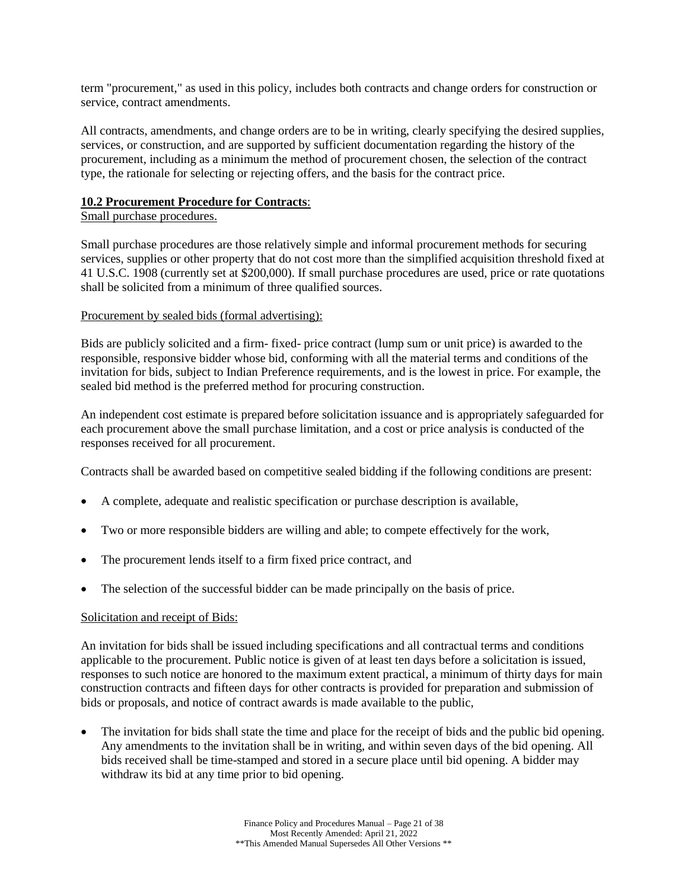term "procurement," as used in this policy, includes both contracts and change orders for construction or service, contract amendments.

All contracts, amendments, and change orders are to be in writing, clearly specifying the desired supplies, services, or construction, and are supported by sufficient documentation regarding the history of the procurement, including as a minimum the method of procurement chosen, the selection of the contract type, the rationale for selecting or rejecting offers, and the basis for the contract price.

#### **10.2 Procurement Procedure for Contracts**:

## Small purchase procedures.

Small purchase procedures are those relatively simple and informal procurement methods for securing services, supplies or other property that do not cost more than the simplified acquisition threshold fixed at 41 U.S.C. 1908 (currently set at \$200,000). If small purchase procedures are used, price or rate quotations shall be solicited from a minimum of three qualified sources.

## Procurement by sealed bids (formal advertising):

Bids are publicly solicited and a firm- fixed- price contract (lump sum or unit price) is awarded to the responsible, responsive bidder whose bid, conforming with all the material terms and conditions of the invitation for bids, subject to Indian Preference requirements, and is the lowest in price. For example, the sealed bid method is the preferred method for procuring construction.

An independent cost estimate is prepared before solicitation issuance and is appropriately safeguarded for each procurement above the small purchase limitation, and a cost or price analysis is conducted of the responses received for all procurement.

Contracts shall be awarded based on competitive sealed bidding if the following conditions are present:

- A complete, adequate and realistic specification or purchase description is available,
- Two or more responsible bidders are willing and able; to compete effectively for the work,
- The procurement lends itself to a firm fixed price contract, and
- The selection of the successful bidder can be made principally on the basis of price.

## Solicitation and receipt of Bids:

An invitation for bids shall be issued including specifications and all contractual terms and conditions applicable to the procurement. Public notice is given of at least ten days before a solicitation is issued, responses to such notice are honored to the maximum extent practical, a minimum of thirty days for main construction contracts and fifteen days for other contracts is provided for preparation and submission of bids or proposals, and notice of contract awards is made available to the public,

The invitation for bids shall state the time and place for the receipt of bids and the public bid opening. Any amendments to the invitation shall be in writing, and within seven days of the bid opening. All bids received shall be time-stamped and stored in a secure place until bid opening. A bidder may withdraw its bid at any time prior to bid opening.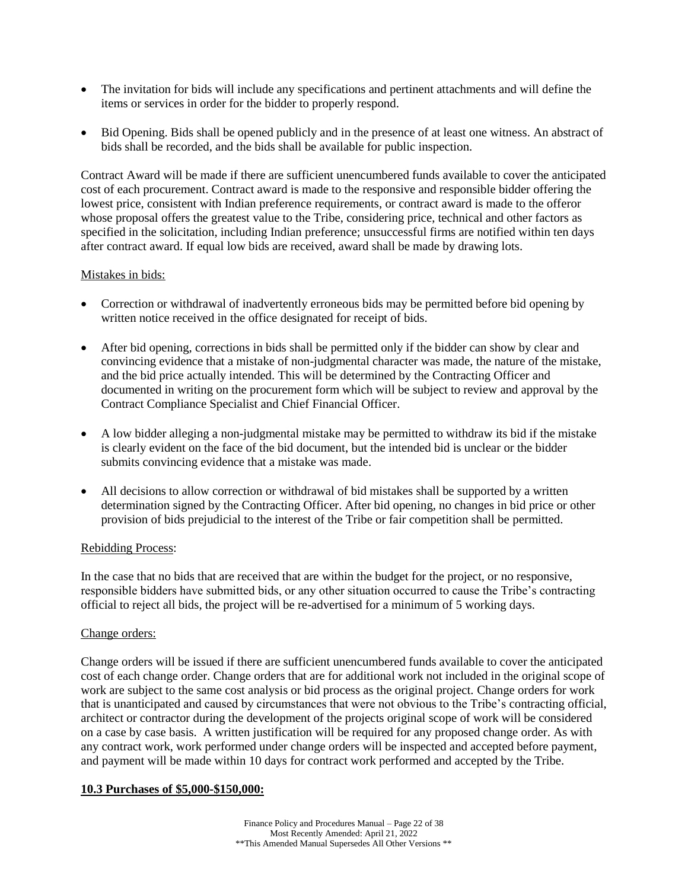- The invitation for bids will include any specifications and pertinent attachments and will define the items or services in order for the bidder to properly respond.
- Bid Opening. Bids shall be opened publicly and in the presence of at least one witness. An abstract of bids shall be recorded, and the bids shall be available for public inspection.

Contract Award will be made if there are sufficient unencumbered funds available to cover the anticipated cost of each procurement. Contract award is made to the responsive and responsible bidder offering the lowest price, consistent with Indian preference requirements, or contract award is made to the offeror whose proposal offers the greatest value to the Tribe, considering price, technical and other factors as specified in the solicitation, including Indian preference; unsuccessful firms are notified within ten days after contract award. If equal low bids are received, award shall be made by drawing lots.

## Mistakes in bids:

- Correction or withdrawal of inadvertently erroneous bids may be permitted before bid opening by written notice received in the office designated for receipt of bids.
- After bid opening, corrections in bids shall be permitted only if the bidder can show by clear and convincing evidence that a mistake of non-judgmental character was made, the nature of the mistake, and the bid price actually intended. This will be determined by the Contracting Officer and documented in writing on the procurement form which will be subject to review and approval by the Contract Compliance Specialist and Chief Financial Officer.
- A low bidder alleging a non-judgmental mistake may be permitted to withdraw its bid if the mistake is clearly evident on the face of the bid document, but the intended bid is unclear or the bidder submits convincing evidence that a mistake was made.
- All decisions to allow correction or withdrawal of bid mistakes shall be supported by a written determination signed by the Contracting Officer. After bid opening, no changes in bid price or other provision of bids prejudicial to the interest of the Tribe or fair competition shall be permitted.

#### Rebidding Process:

In the case that no bids that are received that are within the budget for the project, or no responsive, responsible bidders have submitted bids, or any other situation occurred to cause the Tribe's contracting official to reject all bids, the project will be re-advertised for a minimum of 5 working days.

#### Change orders:

Change orders will be issued if there are sufficient unencumbered funds available to cover the anticipated cost of each change order. Change orders that are for additional work not included in the original scope of work are subject to the same cost analysis or bid process as the original project. Change orders for work that is unanticipated and caused by circumstances that were not obvious to the Tribe's contracting official, architect or contractor during the development of the projects original scope of work will be considered on a case by case basis. A written justification will be required for any proposed change order. As with any contract work, work performed under change orders will be inspected and accepted before payment, and payment will be made within 10 days for contract work performed and accepted by the Tribe.

#### **10.3 Purchases of \$5,000-\$150,000:**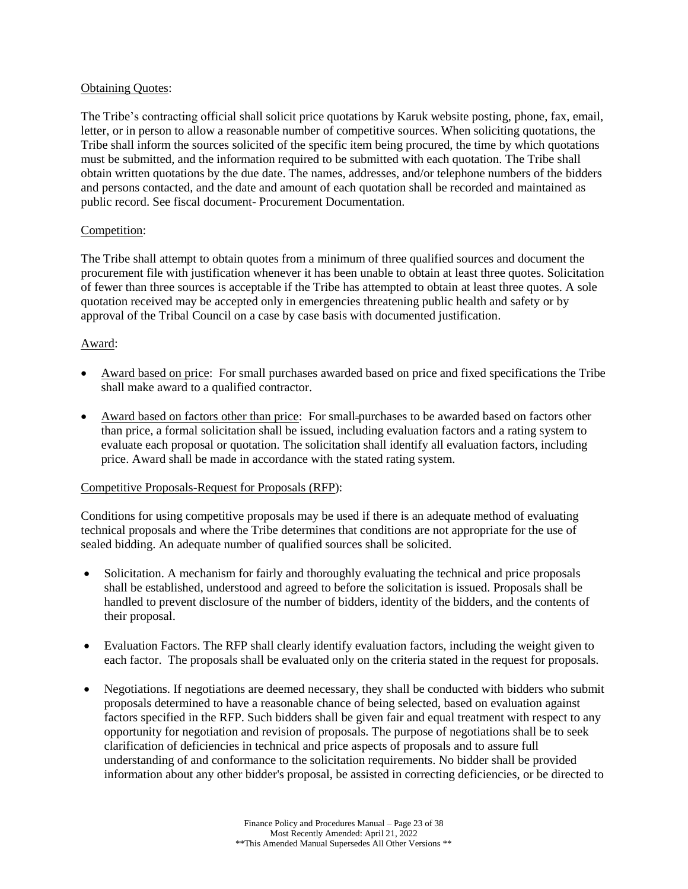## Obtaining Quotes:

The Tribe's contracting official shall solicit price quotations by Karuk website posting, phone, fax, email, letter, or in person to allow a reasonable number of competitive sources. When soliciting quotations, the Tribe shall inform the sources solicited of the specific item being procured, the time by which quotations must be submitted, and the information required to be submitted with each quotation. The Tribe shall obtain written quotations by the due date. The names, addresses, and/or telephone numbers of the bidders and persons contacted, and the date and amount of each quotation shall be recorded and maintained as public record. See fiscal document- Procurement Documentation.

## Competition:

The Tribe shall attempt to obtain quotes from a minimum of three qualified sources and document the procurement file with justification whenever it has been unable to obtain at least three quotes. Solicitation of fewer than three sources is acceptable if the Tribe has attempted to obtain at least three quotes. A sole quotation received may be accepted only in emergencies threatening public health and safety or by approval of the Tribal Council on a case by case basis with documented justification.

## Award:

- Award based on price: For small purchases awarded based on price and fixed specifications the Tribe shall make award to a qualified contractor.
- Award based on factors other than price: For small-purchases to be awarded based on factors other than price, a formal solicitation shall be issued, including evaluation factors and a rating system to evaluate each proposal or quotation. The solicitation shall identify all evaluation factors, including price. Award shall be made in accordance with the stated rating system.

## Competitive Proposals-Request for Proposals (RFP):

Conditions for using competitive proposals may be used if there is an adequate method of evaluating technical proposals and where the Tribe determines that conditions are not appropriate for the use of sealed bidding. An adequate number of qualified sources shall be solicited.

- Solicitation. A mechanism for fairly and thoroughly evaluating the technical and price proposals shall be established, understood and agreed to before the solicitation is issued. Proposals shall be handled to prevent disclosure of the number of bidders, identity of the bidders, and the contents of their proposal.
- Evaluation Factors. The RFP shall clearly identify evaluation factors, including the weight given to each factor. The proposals shall be evaluated only on the criteria stated in the request for proposals.
- Negotiations. If negotiations are deemed necessary, they shall be conducted with bidders who submit proposals determined to have a reasonable chance of being selected, based on evaluation against factors specified in the RFP. Such bidders shall be given fair and equal treatment with respect to any opportunity for negotiation and revision of proposals. The purpose of negotiations shall be to seek clarification of deficiencies in technical and price aspects of proposals and to assure full understanding of and conformance to the solicitation requirements. No bidder shall be provided information about any other bidder's proposal, be assisted in correcting deficiencies, or be directed to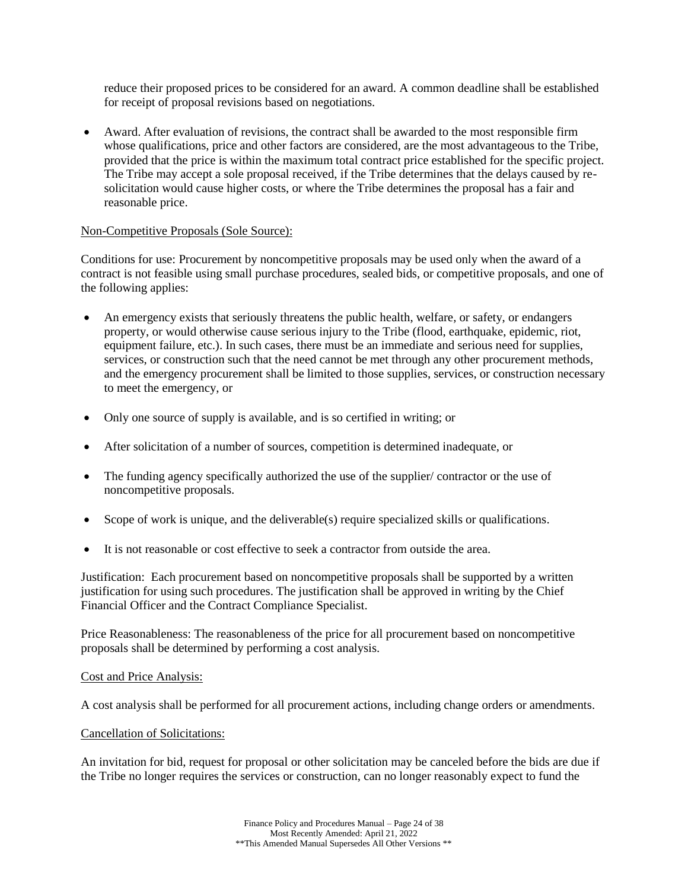reduce their proposed prices to be considered for an award. A common deadline shall be established for receipt of proposal revisions based on negotiations.

• Award. After evaluation of revisions, the contract shall be awarded to the most responsible firm whose qualifications, price and other factors are considered, are the most advantageous to the Tribe, provided that the price is within the maximum total contract price established for the specific project. The Tribe may accept a sole proposal received, if the Tribe determines that the delays caused by resolicitation would cause higher costs, or where the Tribe determines the proposal has a fair and reasonable price.

## Non-Competitive Proposals (Sole Source):

Conditions for use: Procurement by noncompetitive proposals may be used only when the award of a contract is not feasible using small purchase procedures, sealed bids, or competitive proposals, and one of the following applies:

- An emergency exists that seriously threatens the public health, welfare, or safety, or endangers property, or would otherwise cause serious injury to the Tribe (flood, earthquake, epidemic, riot, equipment failure, etc.). In such cases, there must be an immediate and serious need for supplies, services, or construction such that the need cannot be met through any other procurement methods, and the emergency procurement shall be limited to those supplies, services, or construction necessary to meet the emergency, or
- Only one source of supply is available, and is so certified in writing; or
- After solicitation of a number of sources, competition is determined inadequate, or
- The funding agency specifically authorized the use of the supplier/ contractor or the use of noncompetitive proposals.
- Scope of work is unique, and the deliverable(s) require specialized skills or qualifications.
- It is not reasonable or cost effective to seek a contractor from outside the area.

Justification: Each procurement based on noncompetitive proposals shall be supported by a written justification for using such procedures. The justification shall be approved in writing by the Chief Financial Officer and the Contract Compliance Specialist.

Price Reasonableness: The reasonableness of the price for all procurement based on noncompetitive proposals shall be determined by performing a cost analysis.

#### Cost and Price Analysis:

A cost analysis shall be performed for all procurement actions, including change orders or amendments.

#### Cancellation of Solicitations:

An invitation for bid, request for proposal or other solicitation may be canceled before the bids are due if the Tribe no longer requires the services or construction, can no longer reasonably expect to fund the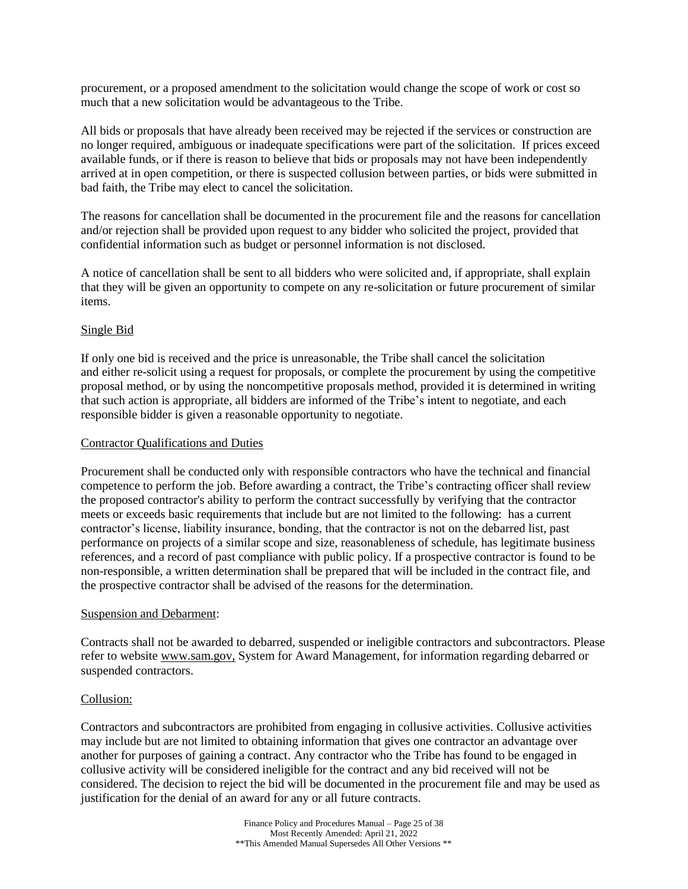procurement, or a proposed amendment to the solicitation would change the scope of work or cost so much that a new solicitation would be advantageous to the Tribe.

All bids or proposals that have already been received may be rejected if the services or construction are no longer required, ambiguous or inadequate specifications were part of the solicitation. If prices exceed available funds, or if there is reason to believe that bids or proposals may not have been independently arrived at in open competition, or there is suspected collusion between parties, or bids were submitted in bad faith, the Tribe may elect to cancel the solicitation.

The reasons for cancellation shall be documented in the procurement file and the reasons for cancellation and/or rejection shall be provided upon request to any bidder who solicited the project, provided that confidential information such as budget or personnel information is not disclosed.

A notice of cancellation shall be sent to all bidders who were solicited and, if appropriate, shall explain that they will be given an opportunity to compete on any re-solicitation or future procurement of similar items.

## Single Bid

If only one bid is received and the price is unreasonable, the Tribe shall cancel the solicitation and either re-solicit using a request for proposals, or complete the procurement by using the competitive proposal method, or by using the noncompetitive proposals method, provided it is determined in writing that such action is appropriate, all bidders are informed of the Tribe's intent to negotiate, and each responsible bidder is given a reasonable opportunity to negotiate.

#### Contractor Qualifications and Duties

Procurement shall be conducted only with responsible contractors who have the technical and financial competence to perform the job. Before awarding a contract, the Tribe's contracting officer shall review the proposed contractor's ability to perform the contract successfully by verifying that the contractor meets or exceeds basic requirements that include but are not limited to the following: has a current contractor's license, liability insurance, bonding, that the contractor is not on the debarred list, past performance on projects of a similar scope and size, reasonableness of schedule, has legitimate business references, and a record of past compliance with public policy. If a prospective contractor is found to be non-responsible, a written determination shall be prepared that will be included in the contract file, and the prospective contractor shall be advised of the reasons for the determination.

#### Suspension and Debarment:

Contracts shall not be awarded to debarred, suspended or ineligible contractors and subcontractors. Please refer to website [www.sam.gov,](http://epls.arnet.gov/) System for Award Management, for information regarding debarred or suspended contractors.

#### Collusion:

Contractors and subcontractors are prohibited from engaging in collusive activities. Collusive activities may include but are not limited to obtaining information that gives one contractor an advantage over another for purposes of gaining a contract. Any contractor who the Tribe has found to be engaged in collusive activity will be considered ineligible for the contract and any bid received will not be considered. The decision to reject the bid will be documented in the procurement file and may be used as justification for the denial of an award for any or all future contracts.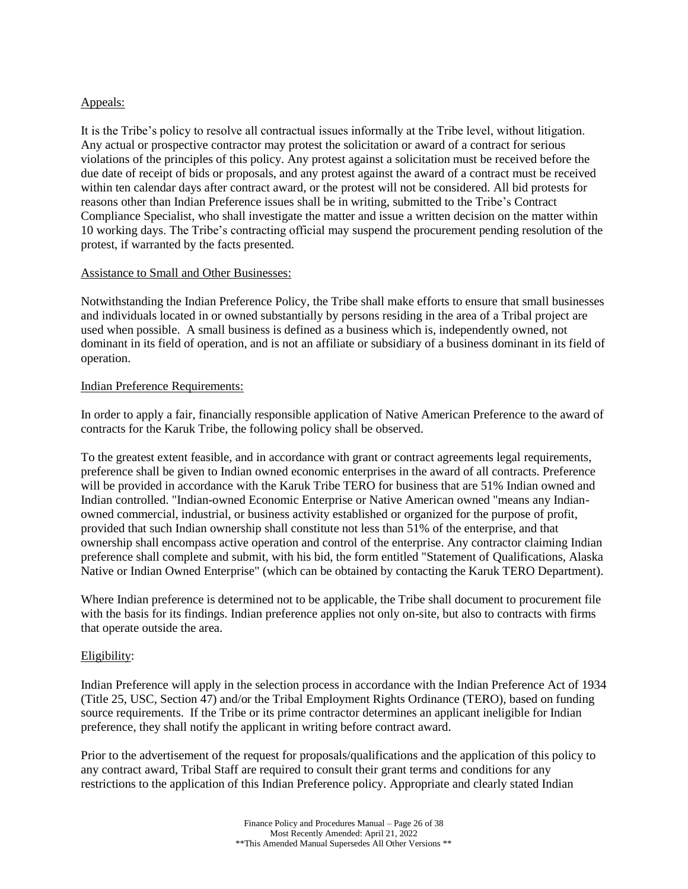## Appeals:

It is the Tribe's policy to resolve all contractual issues informally at the Tribe level, without litigation. Any actual or prospective contractor may protest the solicitation or award of a contract for serious violations of the principles of this policy. Any protest against a solicitation must be received before the due date of receipt of bids or proposals, and any protest against the award of a contract must be received within ten calendar days after contract award, or the protest will not be considered. All bid protests for reasons other than Indian Preference issues shall be in writing, submitted to the Tribe's Contract Compliance Specialist, who shall investigate the matter and issue a written decision on the matter within 10 working days. The Tribe's contracting official may suspend the procurement pending resolution of the protest, if warranted by the facts presented.

#### Assistance to Small and Other Businesses:

Notwithstanding the Indian Preference Policy, the Tribe shall make efforts to ensure that small businesses and individuals located in or owned substantially by persons residing in the area of a Tribal project are used when possible. A small business is defined as a business which is, independently owned, not dominant in its field of operation, and is not an affiliate or subsidiary of a business dominant in its field of operation.

#### Indian Preference Requirements:

In order to apply a fair, financially responsible application of Native American Preference to the award of contracts for the Karuk Tribe, the following policy shall be observed.

To the greatest extent feasible, and in accordance with grant or contract agreements legal requirements, preference shall be given to Indian owned economic enterprises in the award of all contracts. Preference will be provided in accordance with the Karuk Tribe TERO for business that are 51% Indian owned and Indian controlled. "Indian-owned Economic Enterprise or Native American owned "means any Indianowned commercial, industrial, or business activity established or organized for the purpose of profit, provided that such Indian ownership shall constitute not less than 51% of the enterprise, and that ownership shall encompass active operation and control of the enterprise. Any contractor claiming Indian preference shall complete and submit, with his bid, the form entitled "Statement of Qualifications, Alaska Native or Indian Owned Enterprise" (which can be obtained by contacting the Karuk TERO Department).

Where Indian preference is determined not to be applicable, the Tribe shall document to procurement file with the basis for its findings. Indian preference applies not only on-site, but also to contracts with firms that operate outside the area.

## Eligibility:

Indian Preference will apply in the selection process in accordance with the Indian Preference Act of 1934 (Title 25, USC, Section 47) and/or the Tribal Employment Rights Ordinance (TERO), based on funding source requirements. If the Tribe or its prime contractor determines an applicant ineligible for Indian preference, they shall notify the applicant in writing before contract award.

Prior to the advertisement of the request for proposals/qualifications and the application of this policy to any contract award, Tribal Staff are required to consult their grant terms and conditions for any restrictions to the application of this Indian Preference policy. Appropriate and clearly stated Indian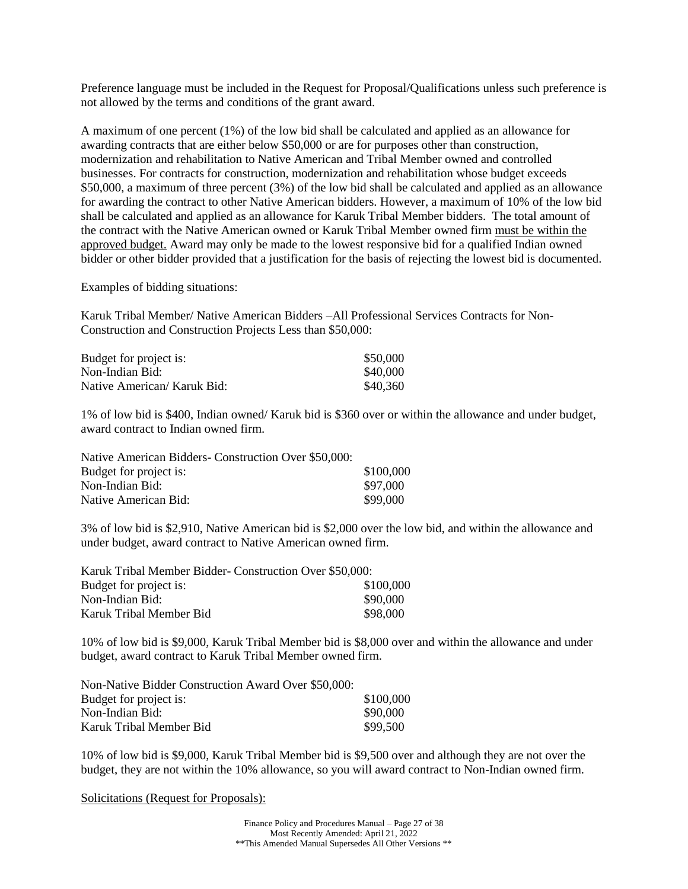Preference language must be included in the Request for Proposal/Qualifications unless such preference is not allowed by the terms and conditions of the grant award.

A maximum of one percent (1%) of the low bid shall be calculated and applied as an allowance for awarding contracts that are either below \$50,000 or are for purposes other than construction, modernization and rehabilitation to Native American and Tribal Member owned and controlled businesses. For contracts for construction, modernization and rehabilitation whose budget exceeds \$50,000, a maximum of three percent (3%) of the low bid shall be calculated and applied as an allowance for awarding the contract to other Native American bidders. However, a maximum of 10% of the low bid shall be calculated and applied as an allowance for Karuk Tribal Member bidders. The total amount of the contract with the Native American owned or Karuk Tribal Member owned firm must be within the approved budget. Award may only be made to the lowest responsive bid for a qualified Indian owned bidder or other bidder provided that a justification for the basis of rejecting the lowest bid is documented.

Examples of bidding situations:

Karuk Tribal Member/ Native American Bidders –All Professional Services Contracts for Non-Construction and Construction Projects Less than \$50,000:

| Budget for project is:      | \$50,000 |
|-----------------------------|----------|
| Non-Indian Bid:             | \$40,000 |
| Native American/ Karuk Bid: | \$40,360 |

1% of low bid is \$400, Indian owned/ Karuk bid is \$360 over or within the allowance and under budget, award contract to Indian owned firm.

| Native American Bidders- Construction Over \$50,000: |           |
|------------------------------------------------------|-----------|
| Budget for project is:                               | \$100,000 |
| Non-Indian Bid:                                      | \$97,000  |
| Native American Bid:                                 | \$99,000  |

3% of low bid is \$2,910, Native American bid is \$2,000 over the low bid, and within the allowance and under budget, award contract to Native American owned firm.

| Karuk Tribal Member Bidder-Construction Over \$50,000: |           |  |
|--------------------------------------------------------|-----------|--|
| Budget for project is:                                 | \$100,000 |  |
| Non-Indian Bid:                                        | \$90,000  |  |
| Karuk Tribal Member Bid                                | \$98,000  |  |

10% of low bid is \$9,000, Karuk Tribal Member bid is \$8,000 over and within the allowance and under budget, award contract to Karuk Tribal Member owned firm.

| Non-Native Bidder Construction Award Over \$50,000: |           |
|-----------------------------------------------------|-----------|
| Budget for project is:                              | \$100,000 |
| Non-Indian Bid:                                     | \$90,000  |
| Karuk Tribal Member Bid                             | \$99,500  |

10% of low bid is \$9,000, Karuk Tribal Member bid is \$9,500 over and although they are not over the budget, they are not within the 10% allowance, so you will award contract to Non-Indian owned firm.

Solicitations (Request for Proposals):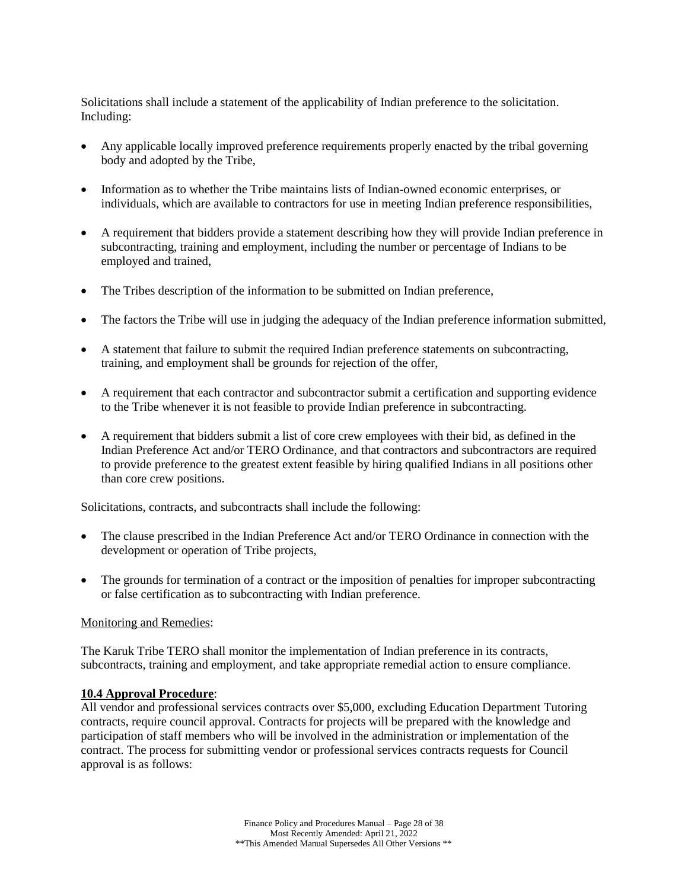Solicitations shall include a statement of the applicability of Indian preference to the solicitation. Including:

- Any applicable locally improved preference requirements properly enacted by the tribal governing body and adopted by the Tribe,
- Information as to whether the Tribe maintains lists of Indian-owned economic enterprises, or individuals, which are available to contractors for use in meeting Indian preference responsibilities,
- A requirement that bidders provide a statement describing how they will provide Indian preference in subcontracting, training and employment, including the number or percentage of Indians to be employed and trained,
- The Tribes description of the information to be submitted on Indian preference,
- The factors the Tribe will use in judging the adequacy of the Indian preference information submitted,
- A statement that failure to submit the required Indian preference statements on subcontracting, training, and employment shall be grounds for rejection of the offer,
- A requirement that each contractor and subcontractor submit a certification and supporting evidence to the Tribe whenever it is not feasible to provide Indian preference in subcontracting.
- A requirement that bidders submit a list of core crew employees with their bid, as defined in the Indian Preference Act and/or TERO Ordinance, and that contractors and subcontractors are required to provide preference to the greatest extent feasible by hiring qualified Indians in all positions other than core crew positions.

Solicitations, contracts, and subcontracts shall include the following:

- The clause prescribed in the Indian Preference Act and/or TERO Ordinance in connection with the development or operation of Tribe projects,
- The grounds for termination of a contract or the imposition of penalties for improper subcontracting or false certification as to subcontracting with Indian preference.

#### Monitoring and Remedies:

The Karuk Tribe TERO shall monitor the implementation of Indian preference in its contracts, subcontracts, training and employment, and take appropriate remedial action to ensure compliance.

## **10.4 Approval Procedure**:

All vendor and professional services contracts over \$5,000, excluding Education Department Tutoring contracts, require council approval. Contracts for projects will be prepared with the knowledge and participation of staff members who will be involved in the administration or implementation of the contract. The process for submitting vendor or professional services contracts requests for Council approval is as follows: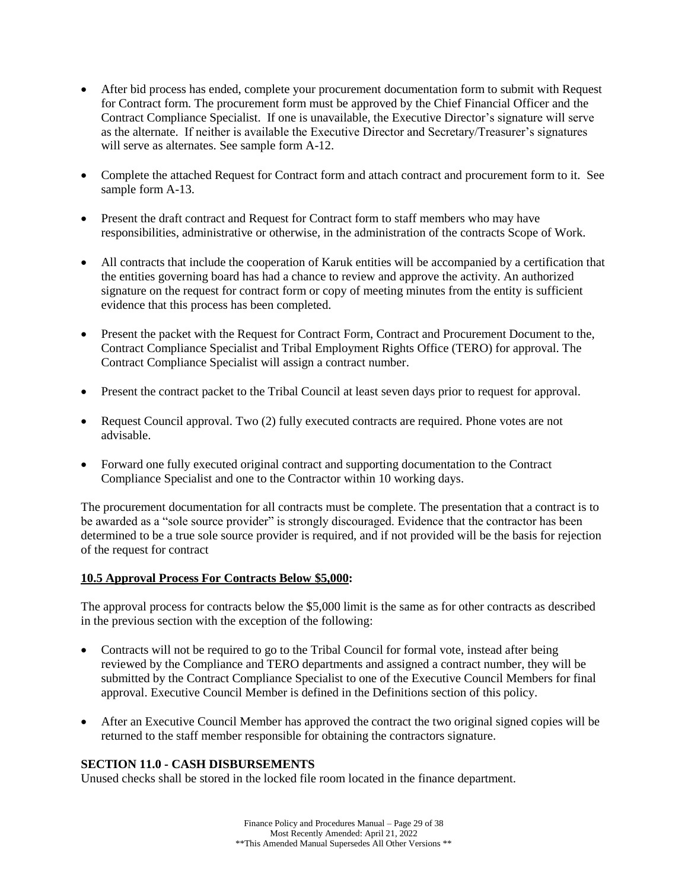- After bid process has ended, complete your procurement documentation form to submit with Request for Contract form. The procurement form must be approved by the Chief Financial Officer and the Contract Compliance Specialist. If one is unavailable, the Executive Director's signature will serve as the alternate. If neither is available the Executive Director and Secretary/Treasurer's signatures will serve as alternates. See sample form A-12.
- Complete the attached Request for Contract form and attach contract and procurement form to it. See sample form A-13.
- Present the draft contract and Request for Contract form to staff members who may have responsibilities, administrative or otherwise, in the administration of the contracts Scope of Work.
- All contracts that include the cooperation of Karuk entities will be accompanied by a certification that the entities governing board has had a chance to review and approve the activity. An authorized signature on the request for contract form or copy of meeting minutes from the entity is sufficient evidence that this process has been completed.
- Present the packet with the Request for Contract Form, Contract and Procurement Document to the, Contract Compliance Specialist and Tribal Employment Rights Office (TERO) for approval. The Contract Compliance Specialist will assign a contract number.
- Present the contract packet to the Tribal Council at least seven days prior to request for approval.
- Request Council approval. Two (2) fully executed contracts are required. Phone votes are not advisable.
- Forward one fully executed original contract and supporting documentation to the Contract Compliance Specialist and one to the Contractor within 10 working days.

The procurement documentation for all contracts must be complete. The presentation that a contract is to be awarded as a "sole source provider" is strongly discouraged. Evidence that the contractor has been determined to be a true sole source provider is required, and if not provided will be the basis for rejection of the request for contract

## **10.5 Approval Process For Contracts Below \$5,000:**

The approval process for contracts below the \$5,000 limit is the same as for other contracts as described in the previous section with the exception of the following:

- Contracts will not be required to go to the Tribal Council for formal vote, instead after being reviewed by the Compliance and TERO departments and assigned a contract number, they will be submitted by the Contract Compliance Specialist to one of the Executive Council Members for final approval. Executive Council Member is defined in the Definitions section of this policy.
- After an Executive Council Member has approved the contract the two original signed copies will be returned to the staff member responsible for obtaining the contractors signature.

## <span id="page-28-0"></span>**SECTION 11.0 - CASH DISBURSEMENTS**

Unused checks shall be stored in the locked file room located in the finance department.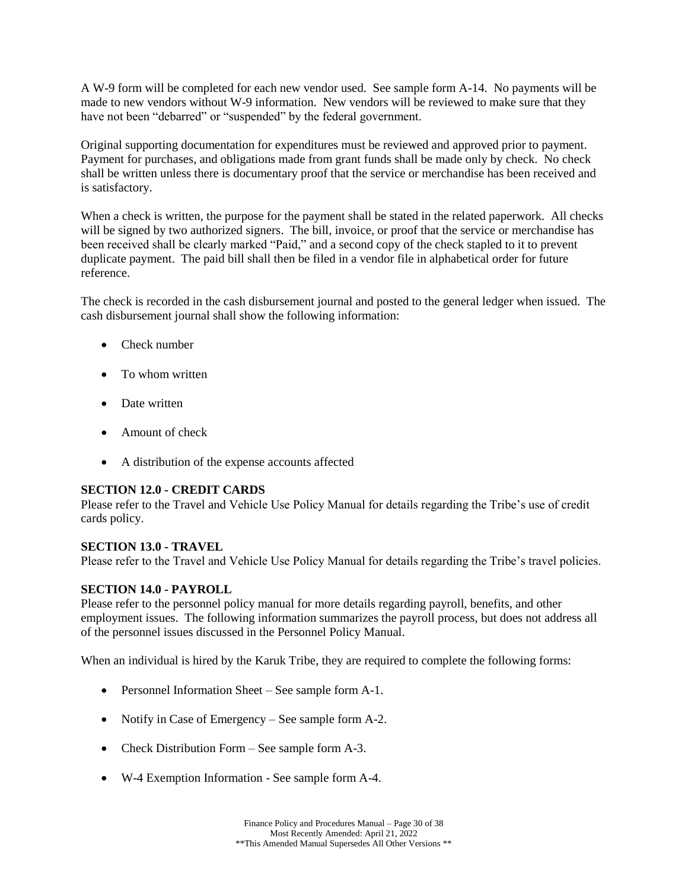A W-9 form will be completed for each new vendor used. See sample form A-14. No payments will be made to new vendors without W-9 information. New vendors will be reviewed to make sure that they have not been "debarred" or "suspended" by the federal government.

Original supporting documentation for expenditures must be reviewed and approved prior to payment. Payment for purchases, and obligations made from grant funds shall be made only by check. No check shall be written unless there is documentary proof that the service or merchandise has been received and is satisfactory.

When a check is written, the purpose for the payment shall be stated in the related paperwork. All checks will be signed by two authorized signers. The bill, invoice, or proof that the service or merchandise has been received shall be clearly marked "Paid," and a second copy of the check stapled to it to prevent duplicate payment. The paid bill shall then be filed in a vendor file in alphabetical order for future reference.

The check is recorded in the cash disbursement journal and posted to the general ledger when issued. The cash disbursement journal shall show the following information:

- Check number
- To whom written
- Date written
- Amount of check
- A distribution of the expense accounts affected

## <span id="page-29-0"></span>**SECTION 12.0 - CREDIT CARDS**

Please refer to the Travel and Vehicle Use Policy Manual for details regarding the Tribe's use of credit cards policy.

## <span id="page-29-1"></span>**SECTION 13.0 - TRAVEL**

Please refer to the Travel and Vehicle Use Policy Manual for details regarding the Tribe's travel policies.

## <span id="page-29-2"></span>**SECTION 14.0 - PAYROLL**

Please refer to the personnel policy manual for more details regarding payroll, benefits, and other employment issues. The following information summarizes the payroll process, but does not address all of the personnel issues discussed in the Personnel Policy Manual.

When an individual is hired by the Karuk Tribe, they are required to complete the following forms:

- Personnel Information Sheet See sample form A-1.
- Notify in Case of Emergency See sample form A-2.
- Check Distribution Form See sample form A-3.
- W-4 Exemption Information See sample form A-4.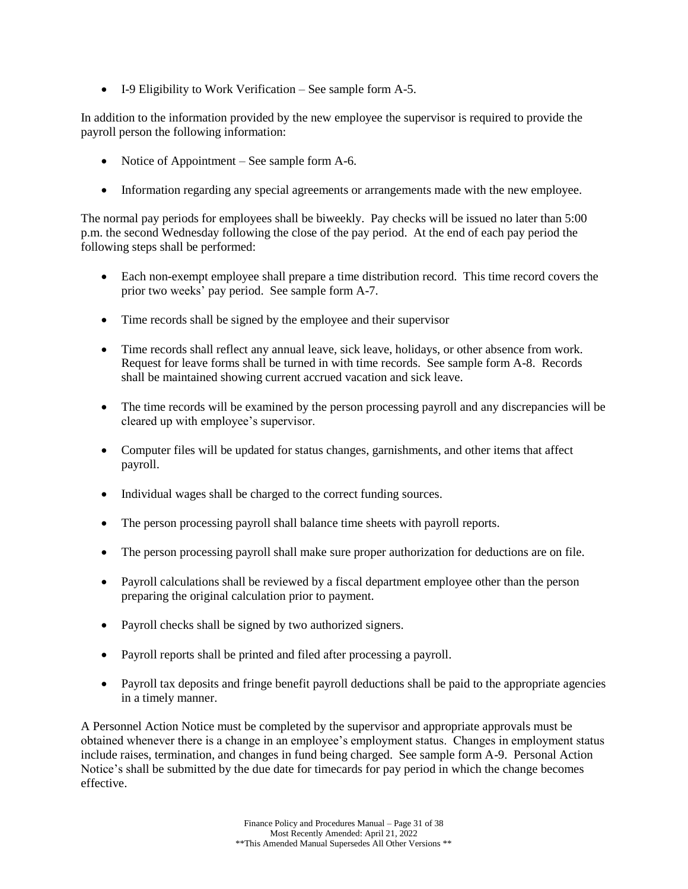• I-9 Eligibility to Work Verification – See sample form A-5.

In addition to the information provided by the new employee the supervisor is required to provide the payroll person the following information:

- Notice of Appointment See sample form A-6.
- Information regarding any special agreements or arrangements made with the new employee.

The normal pay periods for employees shall be biweekly. Pay checks will be issued no later than 5:00 p.m. the second Wednesday following the close of the pay period. At the end of each pay period the following steps shall be performed:

- Each non-exempt employee shall prepare a time distribution record. This time record covers the prior two weeks' pay period. See sample form A-7.
- Time records shall be signed by the employee and their supervisor
- Time records shall reflect any annual leave, sick leave, holidays, or other absence from work. Request for leave forms shall be turned in with time records. See sample form A-8. Records shall be maintained showing current accrued vacation and sick leave.
- The time records will be examined by the person processing payroll and any discrepancies will be cleared up with employee's supervisor.
- Computer files will be updated for status changes, garnishments, and other items that affect payroll.
- Individual wages shall be charged to the correct funding sources.
- The person processing payroll shall balance time sheets with payroll reports.
- The person processing payroll shall make sure proper authorization for deductions are on file.
- Payroll calculations shall be reviewed by a fiscal department employee other than the person preparing the original calculation prior to payment.
- Payroll checks shall be signed by two authorized signers.
- Payroll reports shall be printed and filed after processing a payroll.
- Payroll tax deposits and fringe benefit payroll deductions shall be paid to the appropriate agencies in a timely manner.

A Personnel Action Notice must be completed by the supervisor and appropriate approvals must be obtained whenever there is a change in an employee's employment status. Changes in employment status include raises, termination, and changes in fund being charged. See sample form A-9. Personal Action Notice's shall be submitted by the due date for timecards for pay period in which the change becomes effective.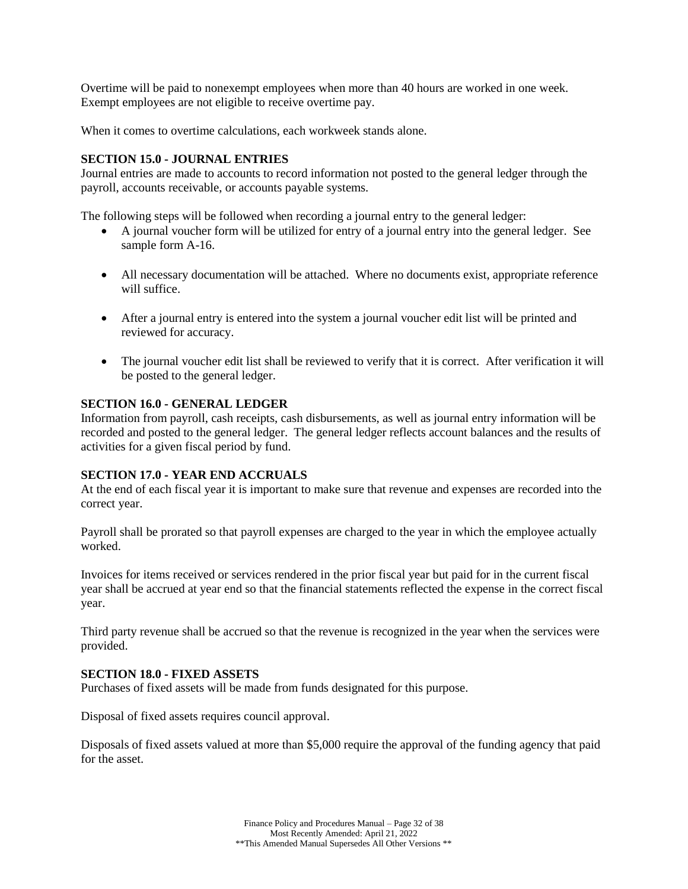Overtime will be paid to nonexempt employees when more than 40 hours are worked in one week. Exempt employees are not eligible to receive overtime pay.

When it comes to overtime calculations, each workweek stands alone.

## <span id="page-31-0"></span>**SECTION 15.0 - JOURNAL ENTRIES**

Journal entries are made to accounts to record information not posted to the general ledger through the payroll, accounts receivable, or accounts payable systems.

The following steps will be followed when recording a journal entry to the general ledger:

- A journal voucher form will be utilized for entry of a journal entry into the general ledger. See sample form A-16.
- All necessary documentation will be attached. Where no documents exist, appropriate reference will suffice.
- After a journal entry is entered into the system a journal voucher edit list will be printed and reviewed for accuracy.
- The journal voucher edit list shall be reviewed to verify that it is correct. After verification it will be posted to the general ledger.

### <span id="page-31-1"></span>**SECTION 16.0 - GENERAL LEDGER**

Information from payroll, cash receipts, cash disbursements, as well as journal entry information will be recorded and posted to the general ledger. The general ledger reflects account balances and the results of activities for a given fiscal period by fund.

#### <span id="page-31-2"></span>**SECTION 17.0 - YEAR END ACCRUALS**

At the end of each fiscal year it is important to make sure that revenue and expenses are recorded into the correct year.

Payroll shall be prorated so that payroll expenses are charged to the year in which the employee actually worked.

Invoices for items received or services rendered in the prior fiscal year but paid for in the current fiscal year shall be accrued at year end so that the financial statements reflected the expense in the correct fiscal year.

Third party revenue shall be accrued so that the revenue is recognized in the year when the services were provided.

#### <span id="page-31-3"></span>**SECTION 18.0 - FIXED ASSETS**

Purchases of fixed assets will be made from funds designated for this purpose.

Disposal of fixed assets requires council approval.

Disposals of fixed assets valued at more than \$5,000 require the approval of the funding agency that paid for the asset.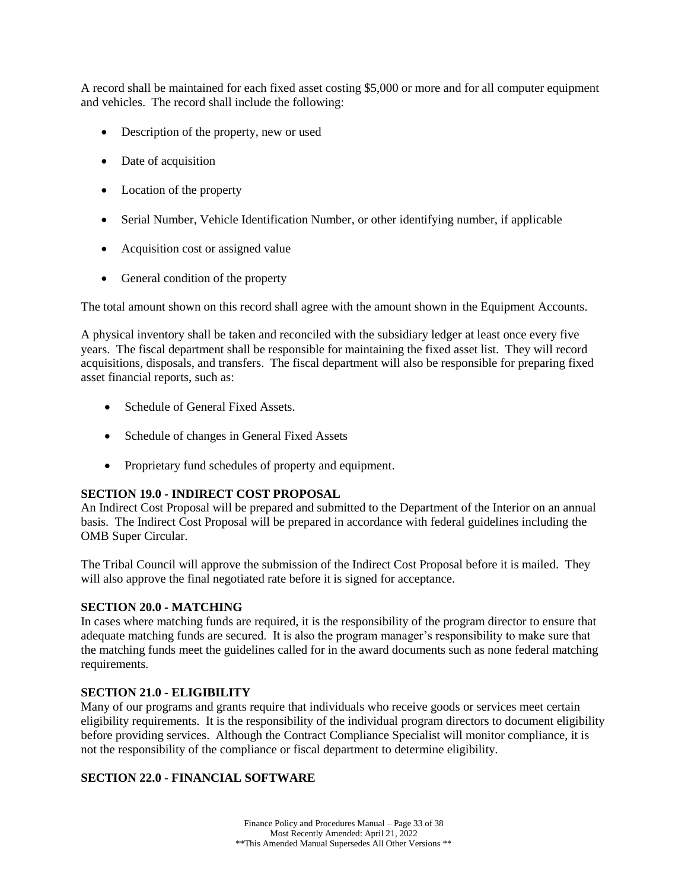A record shall be maintained for each fixed asset costing \$5,000 or more and for all computer equipment and vehicles. The record shall include the following:

- Description of the property, new or used
- Date of acquisition
- Location of the property
- Serial Number, Vehicle Identification Number, or other identifying number, if applicable
- Acquisition cost or assigned value
- General condition of the property

The total amount shown on this record shall agree with the amount shown in the Equipment Accounts.

A physical inventory shall be taken and reconciled with the subsidiary ledger at least once every five years. The fiscal department shall be responsible for maintaining the fixed asset list. They will record acquisitions, disposals, and transfers. The fiscal department will also be responsible for preparing fixed asset financial reports, such as:

- Schedule of General Fixed Assets.
- Schedule of changes in General Fixed Assets
- Proprietary fund schedules of property and equipment.

## <span id="page-32-0"></span>**SECTION 19.0 - INDIRECT COST PROPOSAL**

An Indirect Cost Proposal will be prepared and submitted to the Department of the Interior on an annual basis. The Indirect Cost Proposal will be prepared in accordance with federal guidelines including the OMB Super Circular.

The Tribal Council will approve the submission of the Indirect Cost Proposal before it is mailed. They will also approve the final negotiated rate before it is signed for acceptance.

## <span id="page-32-1"></span>**SECTION 20.0 - MATCHING**

In cases where matching funds are required, it is the responsibility of the program director to ensure that adequate matching funds are secured. It is also the program manager's responsibility to make sure that the matching funds meet the guidelines called for in the award documents such as none federal matching requirements.

## <span id="page-32-2"></span>**SECTION 21.0 - ELIGIBILITY**

Many of our programs and grants require that individuals who receive goods or services meet certain eligibility requirements. It is the responsibility of the individual program directors to document eligibility before providing services. Although the Contract Compliance Specialist will monitor compliance, it is not the responsibility of the compliance or fiscal department to determine eligibility.

## <span id="page-32-3"></span>**SECTION 22.0 - FINANCIAL SOFTWARE**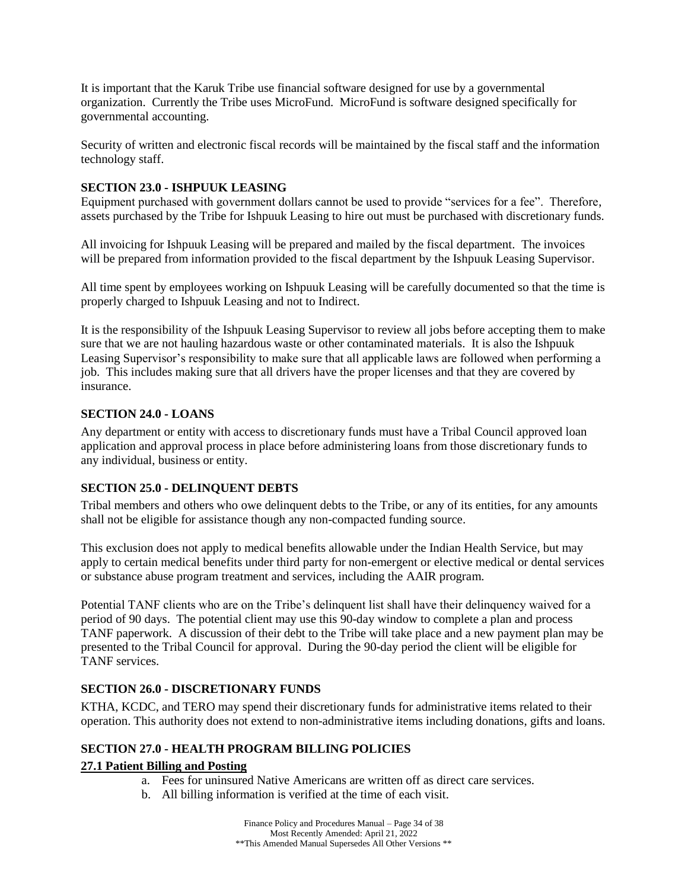It is important that the Karuk Tribe use financial software designed for use by a governmental organization. Currently the Tribe uses MicroFund. MicroFund is software designed specifically for governmental accounting.

Security of written and electronic fiscal records will be maintained by the fiscal staff and the information technology staff.

## <span id="page-33-0"></span>**SECTION 23.0 - ISHPUUK LEASING**

Equipment purchased with government dollars cannot be used to provide "services for a fee". Therefore, assets purchased by the Tribe for Ishpuuk Leasing to hire out must be purchased with discretionary funds.

All invoicing for Ishpuuk Leasing will be prepared and mailed by the fiscal department. The invoices will be prepared from information provided to the fiscal department by the Ishpuuk Leasing Supervisor.

All time spent by employees working on Ishpuuk Leasing will be carefully documented so that the time is properly charged to Ishpuuk Leasing and not to Indirect.

It is the responsibility of the Ishpuuk Leasing Supervisor to review all jobs before accepting them to make sure that we are not hauling hazardous waste or other contaminated materials. It is also the Ishpuuk Leasing Supervisor's responsibility to make sure that all applicable laws are followed when performing a job. This includes making sure that all drivers have the proper licenses and that they are covered by insurance.

## <span id="page-33-1"></span>**SECTION 24.0 - LOANS**

Any department or entity with access to discretionary funds must have a Tribal Council approved loan application and approval process in place before administering loans from those discretionary funds to any individual, business or entity.

## <span id="page-33-2"></span>**SECTION 25.0 - DELINQUENT DEBTS**

Tribal members and others who owe delinquent debts to the Tribe, or any of its entities, for any amounts shall not be eligible for assistance though any non-compacted funding source.

This exclusion does not apply to medical benefits allowable under the Indian Health Service, but may apply to certain medical benefits under third party for non-emergent or elective medical or dental services or substance abuse program treatment and services, including the AAIR program.

Potential TANF clients who are on the Tribe's delinquent list shall have their delinquency waived for a period of 90 days. The potential client may use this 90-day window to complete a plan and process TANF paperwork. A discussion of their debt to the Tribe will take place and a new payment plan may be presented to the Tribal Council for approval. During the 90-day period the client will be eligible for TANF services.

## <span id="page-33-3"></span>**SECTION 26.0 - DISCRETIONARY FUNDS**

KTHA, KCDC, and TERO may spend their discretionary funds for administrative items related to their operation. This authority does not extend to non-administrative items including donations, gifts and loans.

## <span id="page-33-4"></span>**SECTION 27.0 - HEALTH PROGRAM BILLING POLICIES**

## **27.1 Patient Billing and Posting**

- a. Fees for uninsured Native Americans are written off as direct care services.
- b. All billing information is verified at the time of each visit.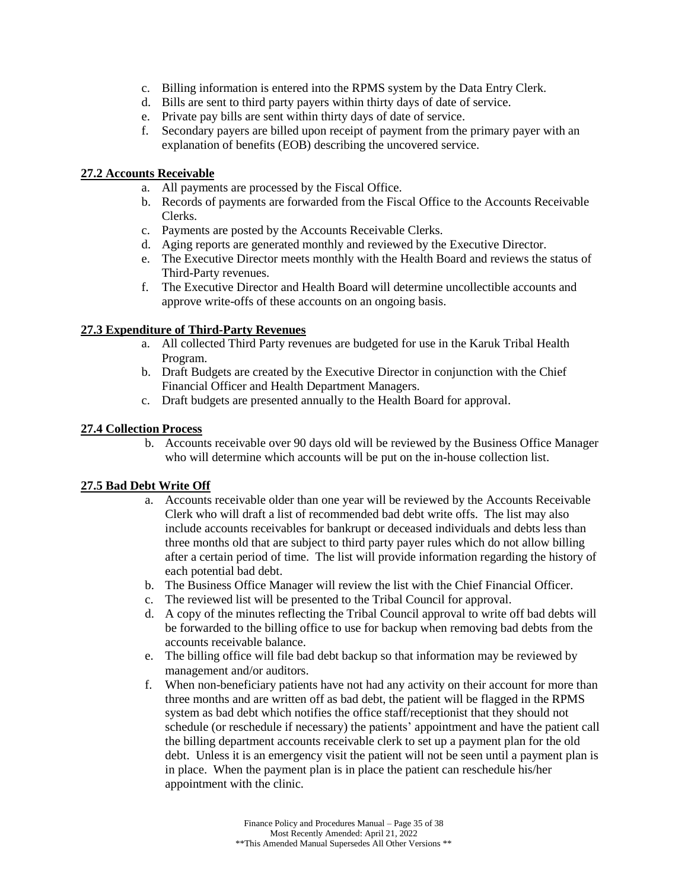- c. Billing information is entered into the RPMS system by the Data Entry Clerk.
- d. Bills are sent to third party payers within thirty days of date of service.
- e. Private pay bills are sent within thirty days of date of service.
- f. Secondary payers are billed upon receipt of payment from the primary payer with an explanation of benefits (EOB) describing the uncovered service.

## **27.2 Accounts Receivable**

- a. All payments are processed by the Fiscal Office.
- b. Records of payments are forwarded from the Fiscal Office to the Accounts Receivable Clerks.
- c. Payments are posted by the Accounts Receivable Clerks.
- d. Aging reports are generated monthly and reviewed by the Executive Director.
- e. The Executive Director meets monthly with the Health Board and reviews the status of Third-Party revenues.
- f. The Executive Director and Health Board will determine uncollectible accounts and approve write-offs of these accounts on an ongoing basis.

## **27.3 Expenditure of Third-Party Revenues**

- a. All collected Third Party revenues are budgeted for use in the Karuk Tribal Health Program.
- b. Draft Budgets are created by the Executive Director in conjunction with the Chief Financial Officer and Health Department Managers.
- c. Draft budgets are presented annually to the Health Board for approval.

## **27.4 Collection Process**

b. Accounts receivable over 90 days old will be reviewed by the Business Office Manager who will determine which accounts will be put on the in-house collection list.

## **27.5 Bad Debt Write Off**

- a. Accounts receivable older than one year will be reviewed by the Accounts Receivable Clerk who will draft a list of recommended bad debt write offs. The list may also include accounts receivables for bankrupt or deceased individuals and debts less than three months old that are subject to third party payer rules which do not allow billing after a certain period of time. The list will provide information regarding the history of each potential bad debt.
- b. The Business Office Manager will review the list with the Chief Financial Officer.
- c. The reviewed list will be presented to the Tribal Council for approval.
- d. A copy of the minutes reflecting the Tribal Council approval to write off bad debts will be forwarded to the billing office to use for backup when removing bad debts from the accounts receivable balance.
- e. The billing office will file bad debt backup so that information may be reviewed by management and/or auditors.
- f. When non-beneficiary patients have not had any activity on their account for more than three months and are written off as bad debt, the patient will be flagged in the RPMS system as bad debt which notifies the office staff/receptionist that they should not schedule (or reschedule if necessary) the patients' appointment and have the patient call the billing department accounts receivable clerk to set up a payment plan for the old debt. Unless it is an emergency visit the patient will not be seen until a payment plan is in place. When the payment plan is in place the patient can reschedule his/her appointment with the clinic.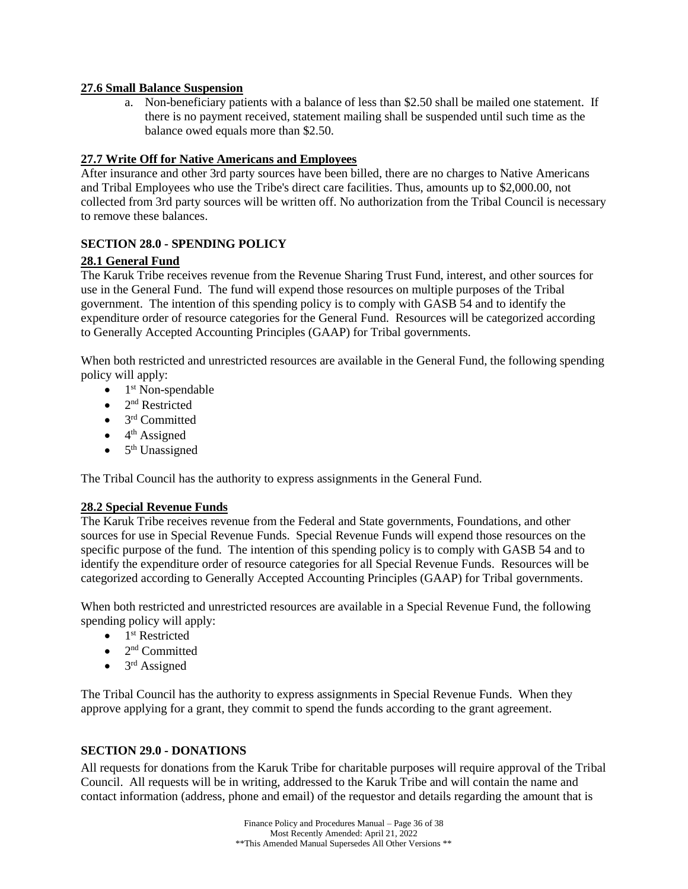## **27.6 Small Balance Suspension**

a. Non-beneficiary patients with a balance of less than \$2.50 shall be mailed one statement. If there is no payment received, statement mailing shall be suspended until such time as the balance owed equals more than \$2.50.

## **27.7 Write Off for Native Americans and Employees**

After insurance and other 3rd party sources have been billed, there are no charges to Native Americans and Tribal Employees who use the Tribe's direct care facilities. Thus, amounts up to \$2,000.00, not collected from 3rd party sources will be written off. No authorization from the Tribal Council is necessary to remove these balances.

## <span id="page-35-0"></span>**SECTION 28.0 - SPENDING POLICY**

## **28.1 General Fund**

The Karuk Tribe receives revenue from the Revenue Sharing Trust Fund, interest, and other sources for use in the General Fund. The fund will expend those resources on multiple purposes of the Tribal government. The intention of this spending policy is to comply with GASB 54 and to identify the expenditure order of resource categories for the General Fund. Resources will be categorized according to Generally Accepted Accounting Principles (GAAP) for Tribal governments.

When both restricted and unrestricted resources are available in the General Fund, the following spending policy will apply:

- $\bullet$  1<sup>st</sup> Non-spendable
- $\bullet$  2<sup>nd</sup> Restricted
- $\bullet$  3<sup>rd</sup> Committed
- $\bullet$  4<sup>th</sup> Assigned
- $\bullet$  5<sup>th</sup> Unassigned

The Tribal Council has the authority to express assignments in the General Fund.

## **28.2 Special Revenue Funds**

The Karuk Tribe receives revenue from the Federal and State governments, Foundations, and other sources for use in Special Revenue Funds. Special Revenue Funds will expend those resources on the specific purpose of the fund. The intention of this spending policy is to comply with GASB 54 and to identify the expenditure order of resource categories for all Special Revenue Funds. Resources will be categorized according to Generally Accepted Accounting Principles (GAAP) for Tribal governments.

When both restricted and unrestricted resources are available in a Special Revenue Fund, the following spending policy will apply:

- $\bullet$  1<sup>st</sup> Restricted
- $\bullet$  2<sup>nd</sup> Committed
- $\bullet$  3<sup>rd</sup> Assigned

The Tribal Council has the authority to express assignments in Special Revenue Funds. When they approve applying for a grant, they commit to spend the funds according to the grant agreement.

## <span id="page-35-1"></span>**SECTION 29.0 - DONATIONS**

All requests for donations from the Karuk Tribe for charitable purposes will require approval of the Tribal Council. All requests will be in writing, addressed to the Karuk Tribe and will contain the name and contact information (address, phone and email) of the requestor and details regarding the amount that is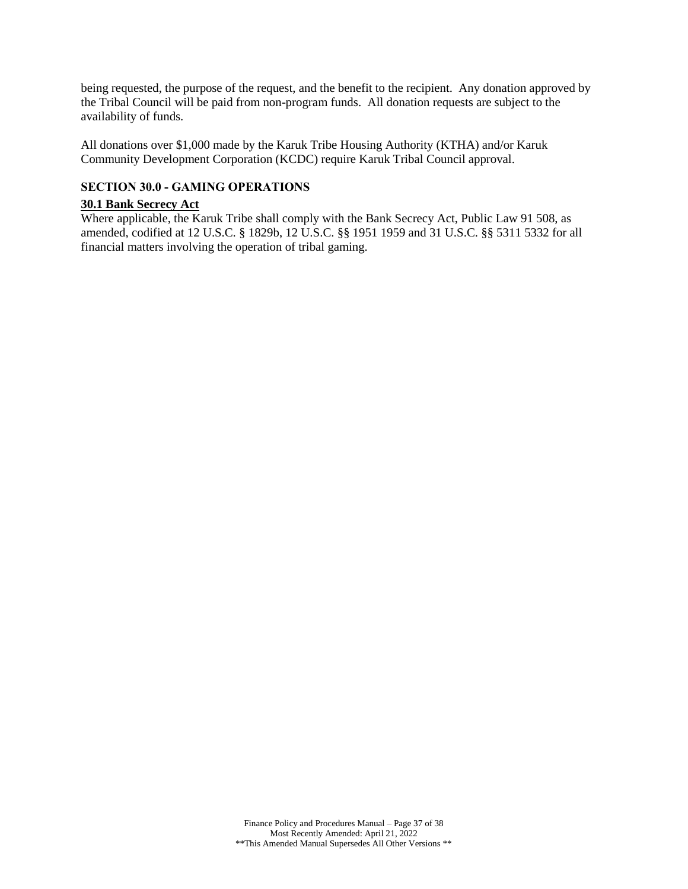being requested, the purpose of the request, and the benefit to the recipient. Any donation approved by the Tribal Council will be paid from non-program funds. All donation requests are subject to the availability of funds.

All donations over \$1,000 made by the Karuk Tribe Housing Authority (KTHA) and/or Karuk Community Development Corporation (KCDC) require Karuk Tribal Council approval.

## <span id="page-36-0"></span>**SECTION 30.0 - GAMING OPERATIONS**

#### **30.1 Bank Secrecy Act**

Where applicable, the Karuk Tribe shall comply with the Bank Secrecy Act, Public Law 91 508, as amended, codified at 12 U.S.C. § 1829b, 12 U.S.C. §§ 1951 1959 and 31 U.S.C. §§ 5311 5332 for all financial matters involving the operation of tribal gaming.